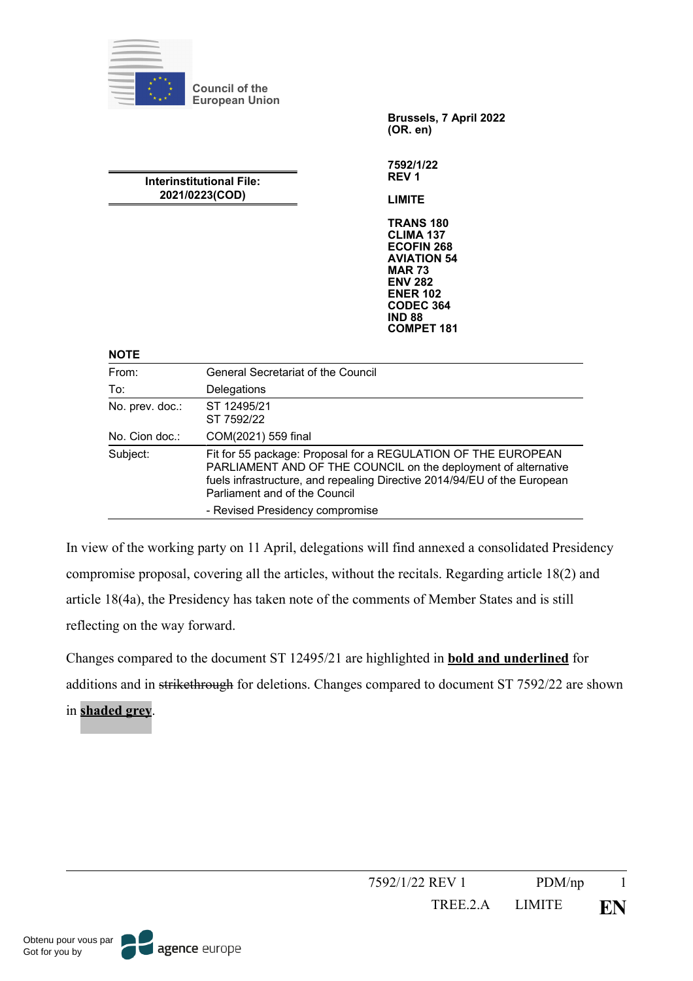

In view of the working party on 11 April, delegations will find annexed a consolidated Presidency compromise proposal, covering all the articles, without the recitals. Regarding article 18(2) and article 18(4a), the Presidency has taken note of the comments of Member States and is still reflecting on the way forward.

Changes compared to the document ST 12495/21 are highlighted in **bold and underlined** for additions and in strikethrough for deletions. Changes compared to document ST 7592/22 are shown in **shaded grey**.

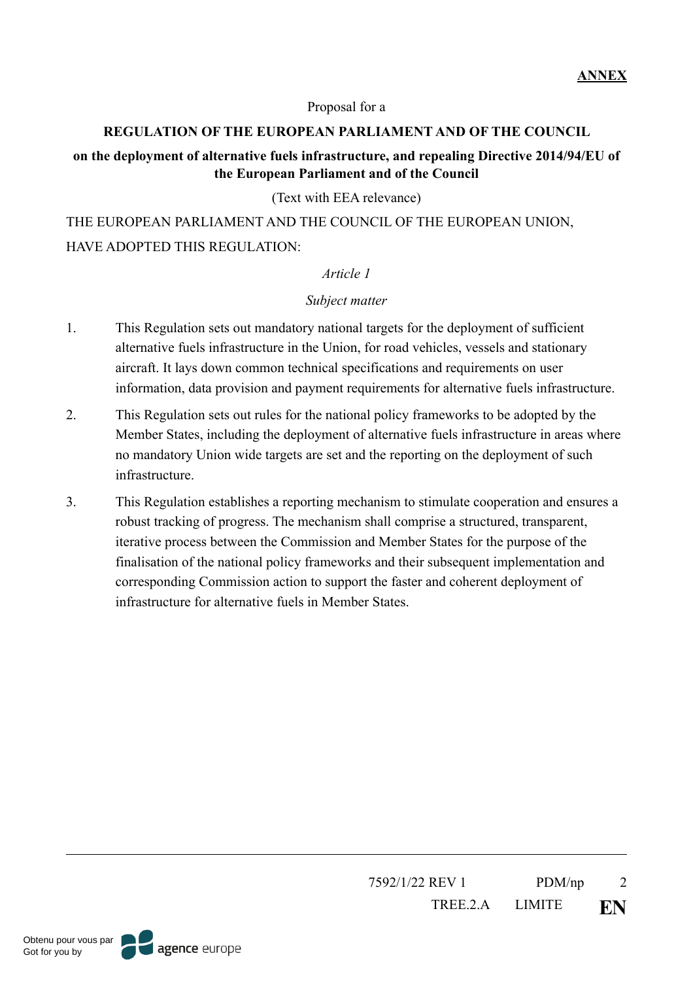#### Proposal for a

#### **REGULATION OF THE EUROPEAN PARLIAMENT AND OF THE COUNCIL**

#### **on the deployment of alternative fuels infrastructure, and repealing Directive 2014/94/EU of the European Parliament and of the Council**

#### (Text with EEA relevance)

THE EUROPEAN PARLIAMENT AND THE COUNCIL OF THE EUROPEAN UNION, HAVE ADOPTED THIS REGULATION:

#### *Article 1*

#### *Subject matter*

- 1. This Regulation sets out mandatory national targets for the deployment of sufficient alternative fuels infrastructure in the Union, for road vehicles, vessels and stationary aircraft. It lays down common technical specifications and requirements on user information, data provision and payment requirements for alternative fuels infrastructure.
- 2. This Regulation sets out rules for the national policy frameworks to be adopted by the Member States, including the deployment of alternative fuels infrastructure in areas where no mandatory Union wide targets are set and the reporting on the deployment of such infrastructure.
- 3. This Regulation establishes a reporting mechanism to stimulate cooperation and ensures a robust tracking of progress. The mechanism shall comprise a structured, transparent, iterative process between the Commission and Member States for the purpose of the finalisation of the national policy frameworks and their subsequent implementation and corresponding Commission action to support the faster and coherent deployment of infrastructure for alternative fuels in Member States.

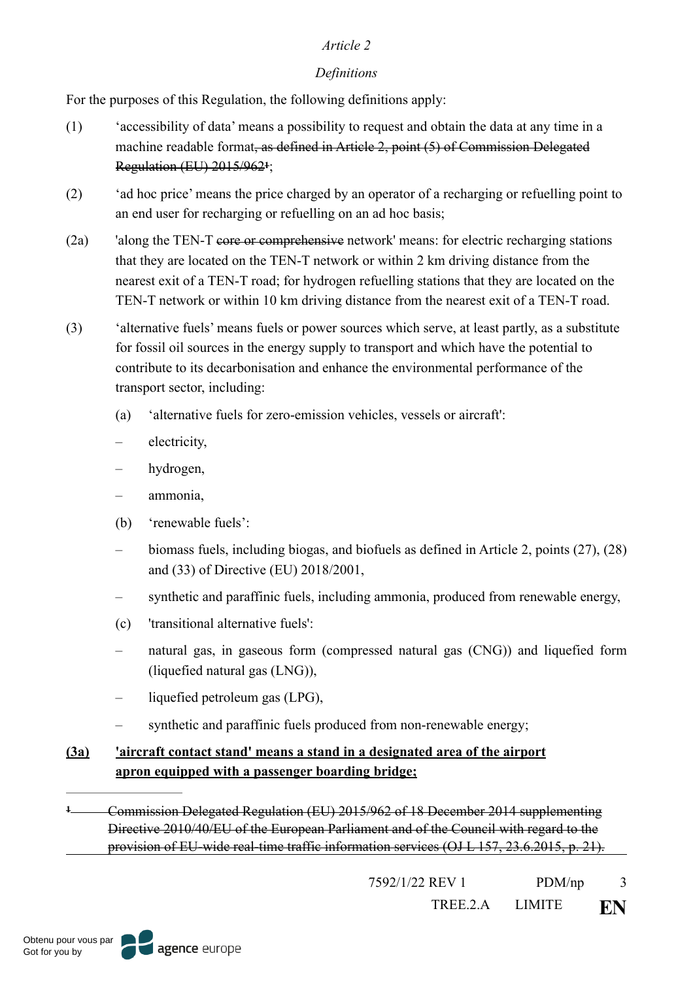# <span id="page-2-1"></span>*Definitions*

For the purposes of this Regulation, the following definitions apply:

- (1) 'accessibility of data' means a possibility to request and obtain the data at any time in a machine readable format, as defined in Article 2, point (5) of Commission Delegated **Regulation (EU) 20[1](#page-2-0)5/962<sup>1</sup>;**
- (2) 'ad hoc price' means the price charged by an operator of a recharging or refuelling point to an end user for recharging or refuelling on an ad hoc basis;
- (2a) 'along the TEN-T core or comprehensive network' means: for electric recharging stations that they are located on the TEN-T network or within 2 km driving distance from the nearest exit of a TEN-T road; for hydrogen refuelling stations that they are located on the TEN-T network or within 10 km driving distance from the nearest exit of a TEN-T road.
- (3) 'alternative fuels' means fuels or power sources which serve, at least partly, as a substitute for fossil oil sources in the energy supply to transport and which have the potential to contribute to its decarbonisation and enhance the environmental performance of the transport sector, including:
	- (a) 'alternative fuels for zero-emission vehicles, vessels or aircraft':
	- electricity,
	- hydrogen,
	- ammonia,
	- (b) 'renewable fuels':
	- biomass fuels, including biogas, and biofuels as defined in Article 2, points (27), (28) and (33) of Directive (EU) 2018/2001,
	- synthetic and paraffinic fuels, including ammonia, produced from renewable energy,
	- (c) 'transitional alternative fuels':
	- natural gas, in gaseous form (compressed natural gas (CNG)) and liquefied form (liquefied natural gas (LNG)),
	- liquefied petroleum gas (LPG),
	- synthetic and paraffinic fuels produced from non-renewable energy;

# **(3a) 'aircraft contact stand' means a stand in a designated area of the airport apron equipped with a passenger boarding bridge;**

<span id="page-2-0"></span>Commission Delegated Regulation (EU) 2015/962 of 18 December 2014 supplementing **[1](#page-2-1)** Directive 2010/40/EU of the European Parliament and of the Council with regard to the provision of EU-wide real-time traffic information services (OJ L 157, 23.6.2015, p. 21).

7592/1/22 REV 1 PDM/np 3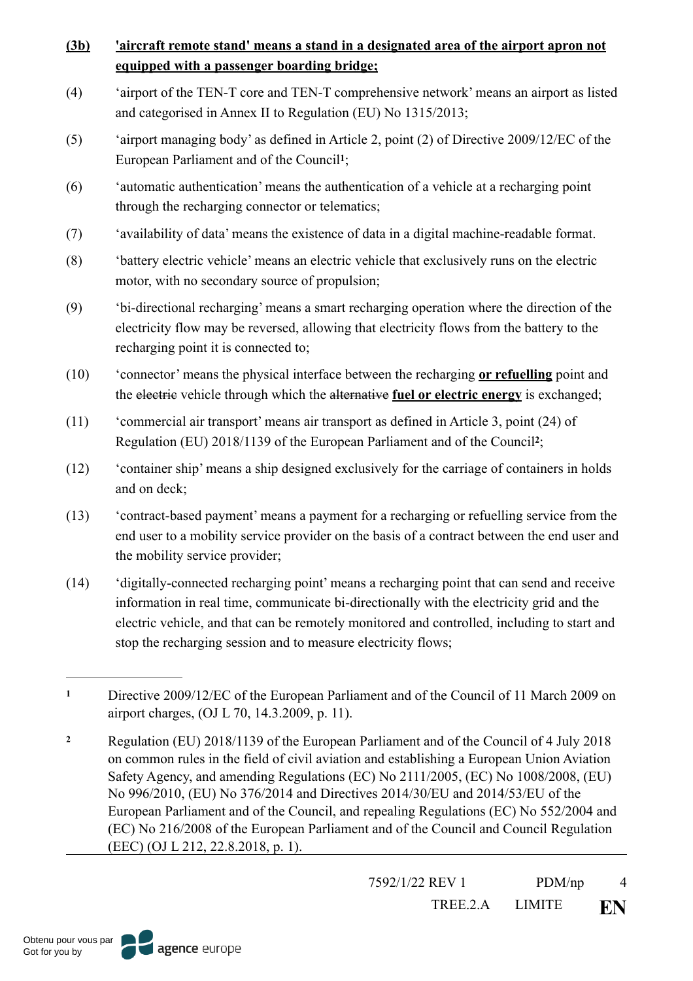# **(3b) 'aircraft remote stand' means a stand in a designated area of the airport apron not equipped with a passenger boarding bridge;**

- (4) 'airport of the TEN-T core and TEN-T comprehensive network' means an airport as listed and categorised in Annex II to Regulation (EU) No 1315/2013;
- <span id="page-3-2"></span>(5) 'airport managing body' as defined in Article 2, point (2) of Directive 2009/12/EC of the European Parliament and of the Council<sup>[1](#page-3-0)</sup>;
- (6) 'automatic authentication' means the authentication of a vehicle at a recharging point through the recharging connector or telematics;
- (7) 'availability of data' means the existence of data in a digital machine-readable format.
- (8) 'battery electric vehicle' means an electric vehicle that exclusively runs on the electric motor, with no secondary source of propulsion;
- (9) 'bi-directional recharging' means a smart recharging operation where the direction of the electricity flow may be reversed, allowing that electricity flows from the battery to the recharging point it is connected to;
- (10) 'connector' means the physical interface between the recharging **or refuelling** point and the electric vehicle through which the alternative **fuel or electric energy** is exchanged;
- <span id="page-3-3"></span>(11) 'commercial air transport' means air transport as defined in Article 3, point (24) of Regulation (EU) [2](#page-3-1)018/1139 of the European Parliament and of the Council<sup>2</sup>;
- (12) 'container ship' means a ship designed exclusively for the carriage of containers in holds and on deck;
- (13) 'contract-based payment' means a payment for a recharging or refuelling service from the end user to a mobility service provider on the basis of a contract between the end user and the mobility service provider;
- (14) 'digitally-connected recharging point' means a recharging point that can send and receive information in real time, communicate bi-directionally with the electricity grid and the electric vehicle, and that can be remotely monitored and controlled, including to start and stop the recharging session and to measure electricity flows;

7592/1/22 REV 1 PDM/np 4

<span id="page-3-0"></span>Directive 2009/12/EC of the European Parliament and of the Council of 11 March 2009 on **[1](#page-3-2)** airport charges, (OJ L 70, 14.3.2009, p. 11).

<span id="page-3-1"></span>Regulation (EU) 2018/1139 of the European Parliament and of the Council of 4 July 2018 **[2](#page-3-3)** on common rules in the field of civil aviation and establishing a European Union Aviation Safety Agency, and amending Regulations (EC) No 2111/2005, (EC) No 1008/2008, (EU) No 996/2010, (EU) No 376/2014 and Directives 2014/30/EU and 2014/53/EU of the European Parliament and of the Council, and repealing Regulations (EC) No 552/2004 and (EC) No 216/2008 of the European Parliament and of the Council and Council Regulation (EEC) (OJ L 212, 22.8.2018, p. 1).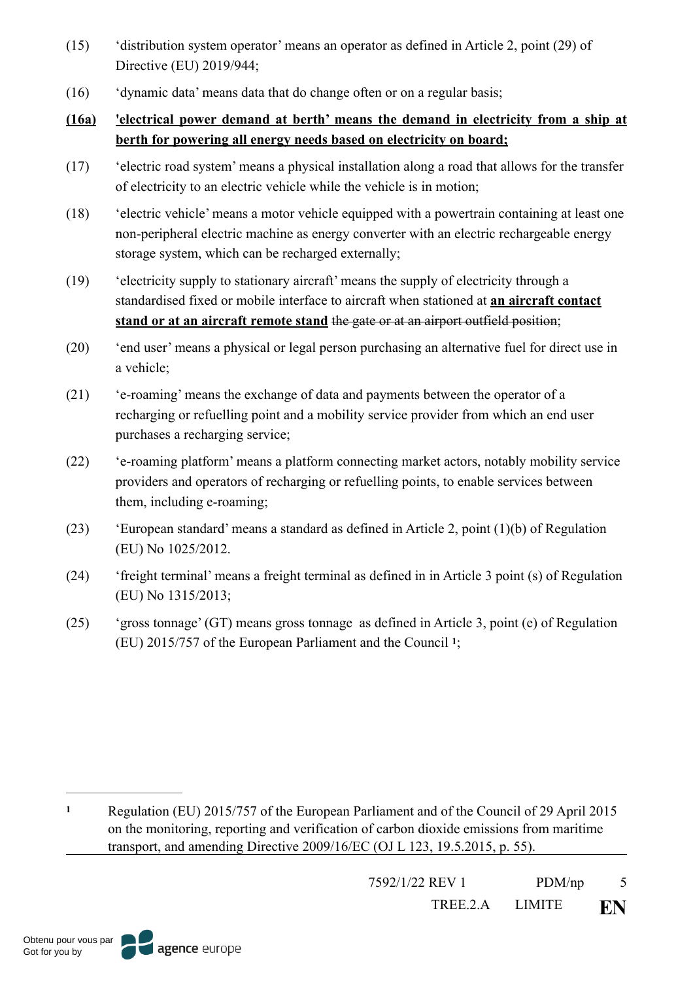- (15) 'distribution system operator' means an operator as defined in Article 2, point (29) of Directive (EU) 2019/944;
- (16) 'dynamic data' means data that do change often or on a regular basis;

# **(16a) 'electrical power demand at berth' means the demand in electricity from a ship at berth for powering all energy needs based on electricity on board;**

- (17) 'electric road system' means a physical installation along a road that allows for the transfer of electricity to an electric vehicle while the vehicle is in motion;
- (18) 'electric vehicle' means a motor vehicle equipped with a powertrain containing at least one non-peripheral electric machine as energy converter with an electric rechargeable energy storage system, which can be recharged externally;
- (19) 'electricity supply to stationary aircraft' means the supply of electricity through a standardised fixed or mobile interface to aircraft when stationed at **an aircraft contact stand or at an aircraft remote stand** the gate or at an airport outfield position;
- (20) 'end user' means a physical or legal person purchasing an alternative fuel for direct use in a vehicle;
- (21) 'e-roaming' means the exchange of data and payments between the operator of a recharging or refuelling point and a mobility service provider from which an end user purchases a recharging service;
- (22) 'e-roaming platform' means a platform connecting market actors, notably mobility service providers and operators of recharging or refuelling points, to enable services between them, including e-roaming;
- (23) 'European standard' means a standard as defined in Article 2, point (1)(b) of Regulation (EU) No 1025/2012.
- (24) 'freight terminal' means a freight terminal as defined in in Article 3 point (s) of Regulation (EU) No 1315/2013;
- (25) 'gross tonnage' (GT) means gross tonnage as defined in Article 3, point (e) of Regulation (EU)2015/757 of the European Parliament and the Council <sup>1</sup>;

<span id="page-4-1"></span>7592/1/22 REV 1 PDM/np 5

<span id="page-4-0"></span>Regulation (EU) 2015/757 of the European Parliament and of the Council of 29 April 2015 **[1](#page-4-1)** on the monitoring, reporting and verification of carbon dioxide emissions from maritime transport, and amending Directive 2009/16/EC (OJ L 123, 19.5.2015, p. 55).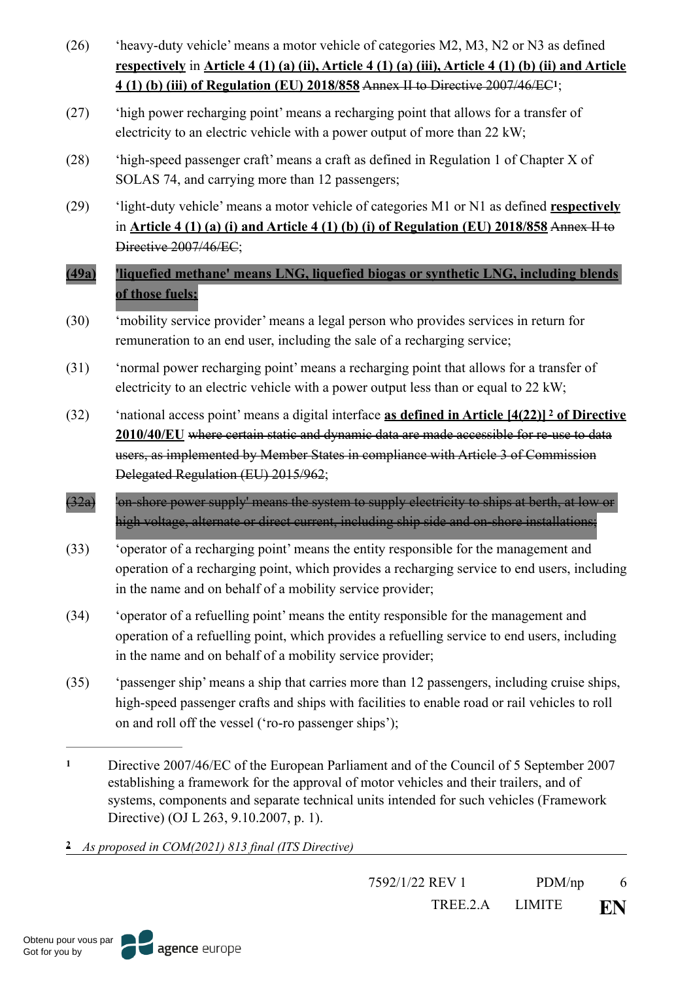- (26) 'heavy-duty vehicle' means a motor vehicle of categories M2, M3, N2 or N3 as defined **respectively** in **Article 4 (1) (a) (ii), Article 4 (1) (a) (iii), Article 4 (1) (b) (ii) and Article 4 (1) (b) (iii) of Regulation (EU) 2018/858** Annex II to Directive 2007/46/EC ;**[1](#page-5-0)**
- <span id="page-5-2"></span>(27) 'high power recharging point' means a recharging point that allows for a transfer of electricity to an electric vehicle with a power output of more than 22 kW;
- (28) 'high-speed passenger craft' means a craft as defined in Regulation 1 of Chapter X of SOLAS 74, and carrying more than 12 passengers;
- (29) 'light-duty vehicle' means a motor vehicle of categories M1 or N1 as defined **respectively** in **Article 4 (1) (a) (i) and Article 4 (1) (b) (i) of Regulation (EU) 2018/858** Annex II to Directive 2007/46/EC;
- **(49a) 'liquefied methane' means LNG, liquefied biogas or synthetic LNG, including blends of those fuels;**
- (30) 'mobility service provider' means a legal person who provides services in return for remuneration to an end user, including the sale of a recharging service;
- (31) 'normal power recharging point' means a recharging point that allows for a transfer of electricity to an electric vehicle with a power output less than or equal to 22 kW;
- <span id="page-5-3"></span>(32) 'national access point' means a digital interface **as defined in Article [4(22)] of Directive [2](#page-5-1) 2010/40/EU** where certain static and dynamic data are made accessible for re-use to data users, as implemented by Member States in compliance with Article 3 of Commission Delegated Regulation (EU) 2015/962;
- (32a) 'on-shore power supply' means the system to supply electricity to ships at berth, at low or high voltage, alternate or direct current, including ship side and on-shore installations;
- (33) 'operator of a recharging point' means the entity responsible for the management and operation of a recharging point, which provides a recharging service to end users, including in the name and on behalf of a mobility service provider;
- (34) 'operator of a refuelling point' means the entity responsible for the management and operation of a refuelling point, which provides a refuelling service to end users, including in the name and on behalf of a mobility service provider;
- (35) 'passenger ship' means a ship that carries more than 12 passengers, including cruise ships, high-speed passenger crafts and ships with facilities to enable road or rail vehicles to roll on and roll off the vessel ('ro-ro passenger ships');
- <span id="page-5-0"></span>Directive 2007/46/EC of the European Parliament and of the Council of 5 September 2007 **[1](#page-5-2)** establishing a framework for the approval of motor vehicles and their trailers, and of systems, components and separate technical units intended for such vehicles (Framework Directive) (OJ L 263, 9.10.2007, p. 1).
- <span id="page-5-1"></span>*As proposed in COM(2021) 813 final (ITS Directive)* **[2](#page-5-3)**

7592/1/22 REV 1 PDM/np 6

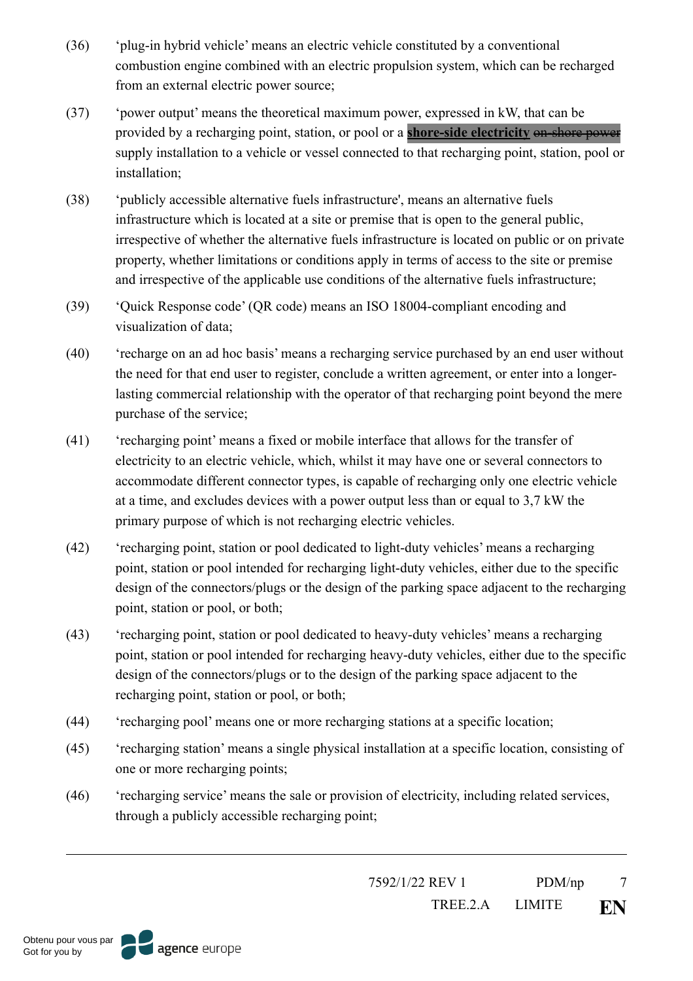- (36) 'plug-in hybrid vehicle' means an electric vehicle constituted by a conventional combustion engine combined with an electric propulsion system, which can be recharged from an external electric power source;
- (37) 'power output' means the theoretical maximum power, expressed in kW, that can be provided by a recharging point, station, or pool or a **shore-side electricity** on-shore power supply installation to a vehicle or vessel connected to that recharging point, station, pool or installation;
- (38) 'publicly accessible alternative fuels infrastructure', means an alternative fuels infrastructure which is located at a site or premise that is open to the general public, irrespective of whether the alternative fuels infrastructure is located on public or on private property, whether limitations or conditions apply in terms of access to the site or premise and irrespective of the applicable use conditions of the alternative fuels infrastructure;
- (39) 'Quick Response code' (QR code) means an ISO 18004-compliant encoding and visualization of data;
- (40) 'recharge on an ad hoc basis' means a recharging service purchased by an end user without the need for that end user to register, conclude a written agreement, or enter into a longerlasting commercial relationship with the operator of that recharging point beyond the mere purchase of the service;
- (41) 'recharging point' means a fixed or mobile interface that allows for the transfer of electricity to an electric vehicle, which, whilst it may have one or several connectors to accommodate different connector types, is capable of recharging only one electric vehicle at a time, and excludes devices with a power output less than or equal to 3,7 kW the primary purpose of which is not recharging electric vehicles.
- (42) 'recharging point, station or pool dedicated to light-duty vehicles' means a recharging point, station or pool intended for recharging light-duty vehicles, either due to the specific design of the connectors/plugs or the design of the parking space adjacent to the recharging point, station or pool, or both;
- (43) 'recharging point, station or pool dedicated to heavy-duty vehicles' means a recharging point, station or pool intended for recharging heavy-duty vehicles, either due to the specific design of the connectors/plugs or to the design of the parking space adjacent to the recharging point, station or pool, or both;
- (44) 'recharging pool' means one or more recharging stations at a specific location;
- (45) 'recharging station' means a single physical installation at a specific location, consisting of one or more recharging points;
- (46) 'recharging service' means the sale or provision of electricity, including related services, through a publicly accessible recharging point;

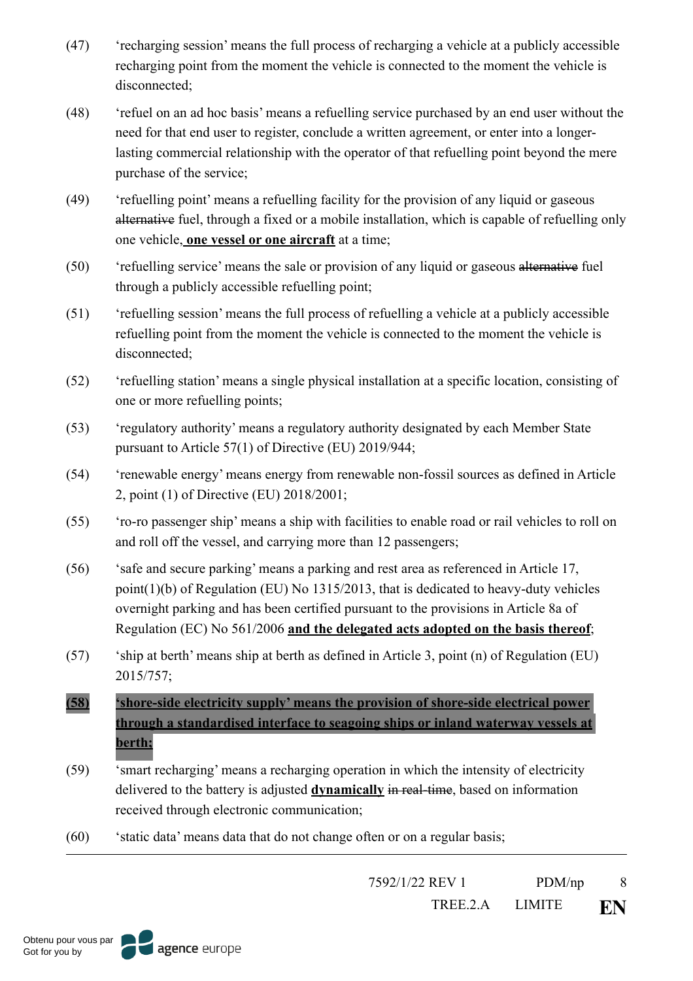- (47) 'recharging session' means the full process of recharging a vehicle at a publicly accessible recharging point from the moment the vehicle is connected to the moment the vehicle is disconnected;
- (48) 'refuel on an ad hoc basis' means a refuelling service purchased by an end user without the need for that end user to register, conclude a written agreement, or enter into a longerlasting commercial relationship with the operator of that refuelling point beyond the mere purchase of the service;
- (49) 'refuelling point' means a refuelling facility for the provision of any liquid or gaseous alternative fuel, through a fixed or a mobile installation, which is capable of refuelling only one vehicle, **one vessel or one aircraft** at a time;
- (50) 'refuelling service' means the sale or provision of any liquid or gaseous alternative fuel through a publicly accessible refuelling point;
- (51) 'refuelling session' means the full process of refuelling a vehicle at a publicly accessible refuelling point from the moment the vehicle is connected to the moment the vehicle is disconnected;
- (52) 'refuelling station' means a single physical installation at a specific location, consisting of one or more refuelling points;
- (53) 'regulatory authority' means a regulatory authority designated by each Member State pursuant to Article 57(1) of Directive (EU) 2019/944;
- (54) 'renewable energy' means energy from renewable non-fossil sources as defined in Article 2, point (1) of Directive (EU) 2018/2001;
- (55) 'ro-ro passenger ship' means a ship with facilities to enable road or rail vehicles to roll on and roll off the vessel, and carrying more than 12 passengers;
- (56) 'safe and secure parking' means a parking and rest area as referenced in Article 17, point(1)(b) of Regulation (EU) No 1315/2013, that is dedicated to heavy-duty vehicles overnight parking and has been certified pursuant to the provisions in Article 8a of Regulation (EC) No 561/2006 **and the delegated acts adopted on the basis thereof**;
- (57) 'ship at berth' means ship at berth as defined in Article 3, point (n) of Regulation (EU) 2015/757;

**(58) 'shore-side electricity supply' means the provision of shore-side electrical power through a standardised interface to seagoing ships or inland waterway vessels at berth;**

- (59) 'smart recharging' means a recharging operation in which the intensity of electricity delivered to the battery is adjusted **dynamically** in real-time, based on information received through electronic communication;
- (60) 'static data' means data that do not change often or on a regular basis;

7592/1/22 REV 1 PDM/np 8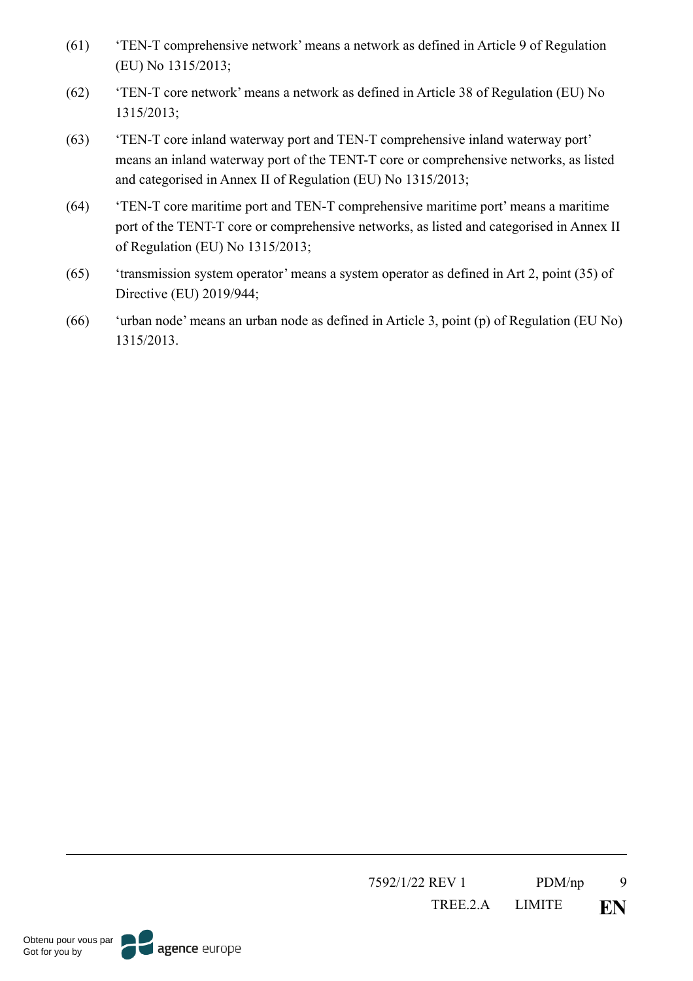- (61) 'TEN-T comprehensive network' means a network as defined in Article 9 of Regulation (EU) No 1315/2013;
- (62) 'TEN-T core network' means a network as defined in Article 38 of Regulation (EU) No 1315/2013;
- (63) 'TEN-T core inland waterway port and TEN-T comprehensive inland waterway port' means an inland waterway port of the TENT-T core or comprehensive networks, as listed and categorised in Annex II of Regulation (EU) No 1315/2013;
- (64) 'TEN-T core maritime port and TEN-T comprehensive maritime port' means a maritime port of the TENT-T core or comprehensive networks, as listed and categorised in Annex II of Regulation (EU) No 1315/2013;
- (65) 'transmission system operator' means a system operator as defined in Art 2, point (35) of Directive (EU) 2019/944;
- (66) 'urban node' means an urban node as defined in Article 3, point (p) of Regulation (EU No) 1315/2013.

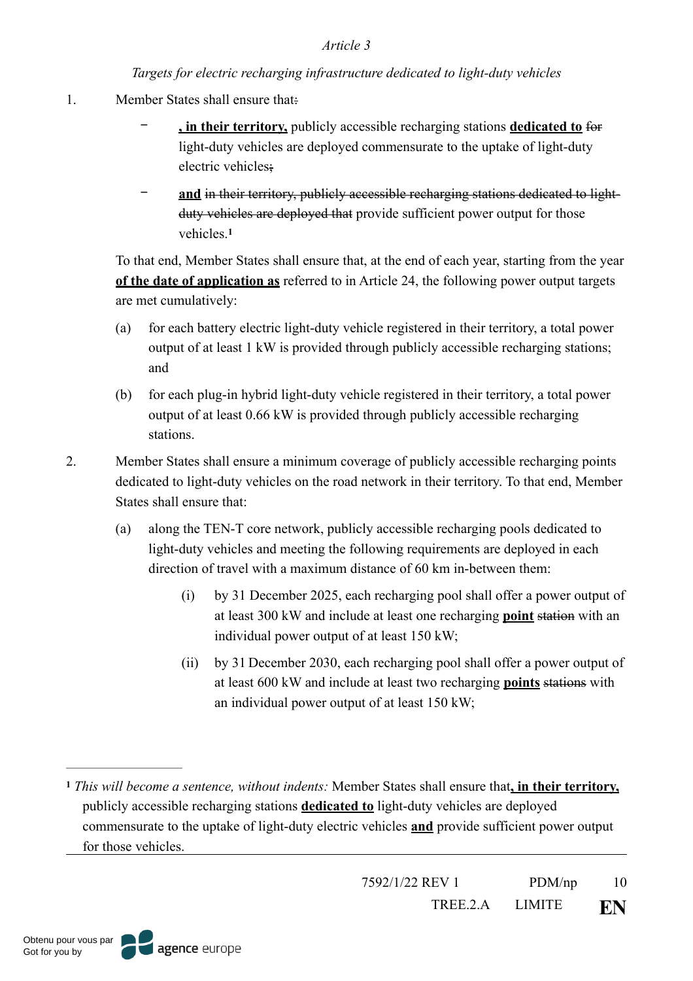#### *Targets for electric recharging infrastructure dedicated to light-duty vehicles*

- 1. Member States shall ensure that:
	- − **, in their territory,** publicly accessible recharging stations **dedicated to** for light-duty vehicles are deployed commensurate to the uptake of light-duty electric vehicles;
	- − **and** in their territory, publicly accessible recharging stations dedicated to lightduty vehicles are deployed that provide sufficient power output for those vehicles.**[1](#page-9-0)**

<span id="page-9-1"></span>To that end, Member States shall ensure that, at the end of each year, starting from the year **of the date of application as** referred to in Article 24, the following power output targets are met cumulatively:

- (a) for each battery electric light-duty vehicle registered in their territory, a total power output of at least 1 kW is provided through publicly accessible recharging stations; and
- (b) for each plug-in hybrid light-duty vehicle registered in their territory, a total power output of at least 0.66 kW is provided through publicly accessible recharging stations.
- 2. Member States shall ensure a minimum coverage of publicly accessible recharging points dedicated to light-duty vehicles on the road network in their territory. To that end, Member States shall ensure that:
	- (a) along the TEN-T core network, publicly accessible recharging pools dedicated to light-duty vehicles and meeting the following requirements are deployed in each direction of travel with a maximum distance of 60 km in-between them:
		- (i) by 31 December 2025, each recharging pool shall offer a power output of at least 300 kW and include at least one recharging **point** station with an individual power output of at least 150 kW;
		- (ii) by 31 December 2030, each recharging pool shall offer a power output of at least 600 kW and include at least two recharging **points** stations with an individual power output of at least 150 kW;

<span id="page-9-0"></span>*This will become a sentence, without indents:* Member States shall ensure that**, in their territory, [1](#page-9-1)** publicly accessible recharging stations **dedicated to** light-duty vehicles are deployed commensurate to the uptake of light-duty electric vehicles **and** provide sufficient power output for those vehicles.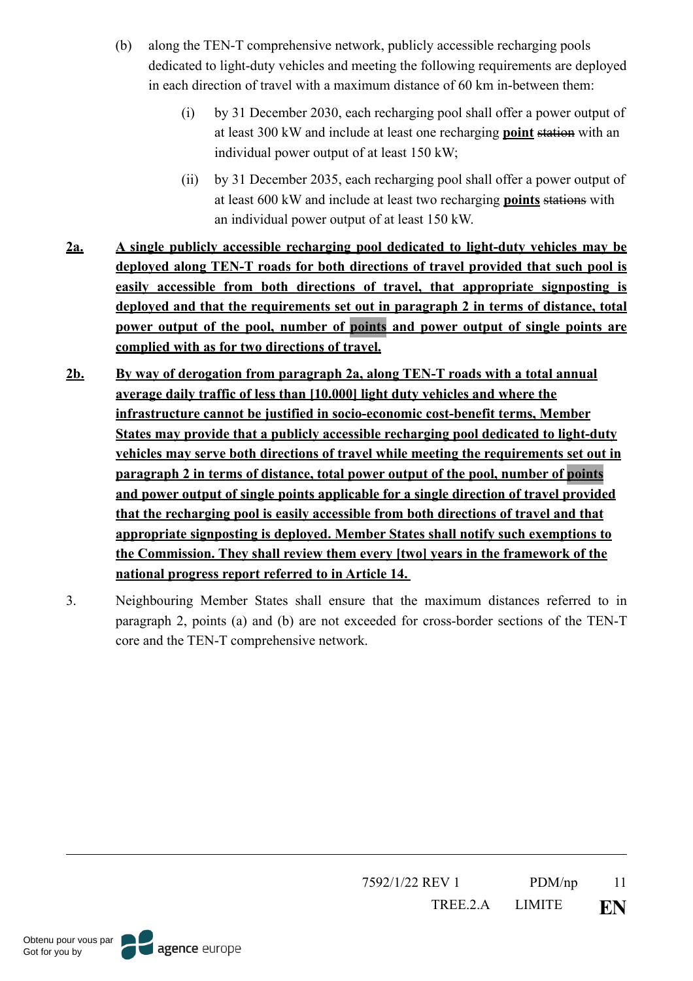- (b) along the TEN-T comprehensive network, publicly accessible recharging pools dedicated to light-duty vehicles and meeting the following requirements are deployed in each direction of travel with a maximum distance of 60 km in-between them:
	- (i) by 31 December 2030, each recharging pool shall offer a power output of at least 300 kW and include at least one recharging **point** station with an individual power output of at least 150 kW;
	- (ii) by 31 December 2035, each recharging pool shall offer a power output of at least 600 kW and include at least two recharging **points** stations with an individual power output of at least 150 kW.
- **2a. A single publicly accessible recharging pool dedicated to light-duty vehicles may be deployed along TEN-T roads for both directions of travel provided that such pool is easily accessible from both directions of travel, that appropriate signposting is deployed and that the requirements set out in paragraph 2 in terms of distance, total power output of the pool, number of points and power output of single points are complied with as for two directions of travel.**
- **2b. By way of derogation from paragraph 2a, along TEN-T roads with a total annual average daily traffic of less than [10.000] light duty vehicles and where the infrastructure cannot be justified in socio-economic cost-benefit terms, Member States may provide that a publicly accessible recharging pool dedicated to light-duty vehicles may serve both directions of travel while meeting the requirements set out in paragraph 2 in terms of distance, total power output of the pool, number of points and power output of single points applicable for a single direction of travel provided that the recharging pool is easily accessible from both directions of travel and that appropriate signposting is deployed. Member States shall notify such exemptions to the Commission. They shall review them every [two] years in the framework of the national progress report referred to in Article 14.**
- 3. Neighbouring Member States shall ensure that the maximum distances referred to in paragraph 2, points (a) and (b) are not exceeded for cross-border sections of the TEN-T core and the TEN-T comprehensive network.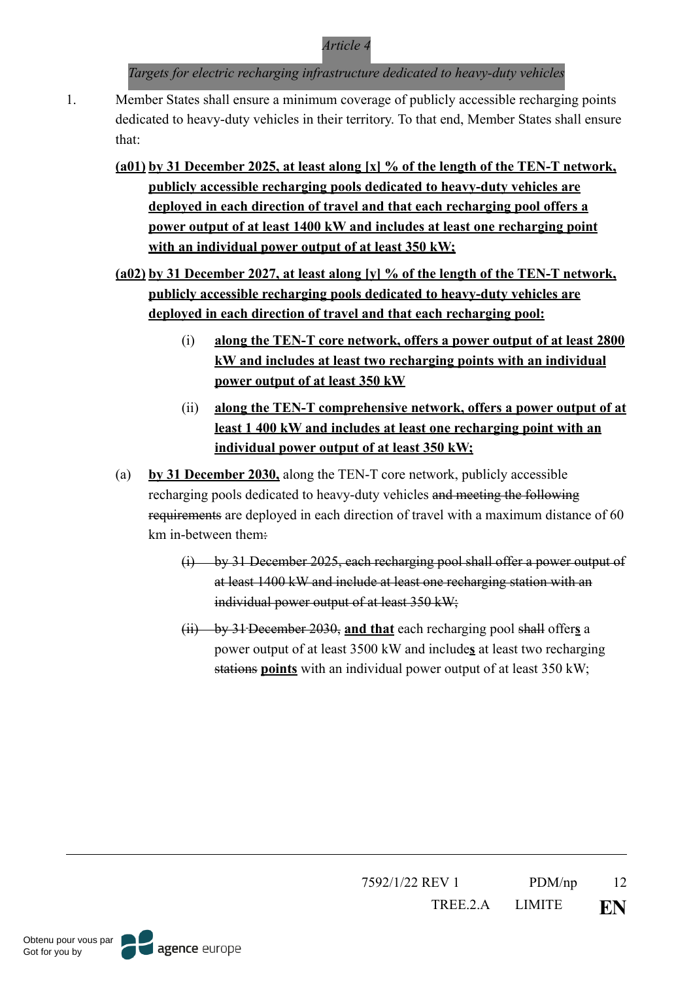*Targets for electric recharging infrastructure dedicated to heavy-duty vehicles*

- 1. Member States shall ensure a minimum coverage of publicly accessible recharging points dedicated to heavy-duty vehicles in their territory. To that end, Member States shall ensure that:
	- **(a01) by 31 December 2025, at least along [x] % of the length of the TEN-T network, publicly accessible recharging pools dedicated to heavy-duty vehicles are deployed in each direction of travel and that each recharging pool offers a power output of at least 1400 kW and includes at least one recharging point with an individual power output of at least 350 kW;**
	- **(a02) by 31 December 2027, at least along [y] % of the length of the TEN-T network, publicly accessible recharging pools dedicated to heavy-duty vehicles are deployed in each direction of travel and that each recharging pool:** 
		- (i) **along the TEN-T core network, offers a power output of at least 2800 kW and includes at least two recharging points with an individual power output of at least 350 kW**
		- (ii) **along the TEN-T comprehensive network, offers a power output of at least 1 400 kW and includes at least one recharging point with an individual power output of at least 350 kW;**
	- (a) **by 31 December 2030,** along the TEN-T core network, publicly accessible recharging pools dedicated to heavy-duty vehicles and meeting the following requirements are deployed in each direction of travel with a maximum distance of 60 km in-between them:
		- (i) by 31 December 2025, each recharging pool shall offer a power output of at least 1400 kW and include at least one recharging station with an individual power output of at least 350 kW;
		- (ii) by 31 December 2030, **and that** each recharging pool shall offer**s** a power output of at least 3500 kW and include**s** at least two recharging stations **points** with an individual power output of at least 350 kW;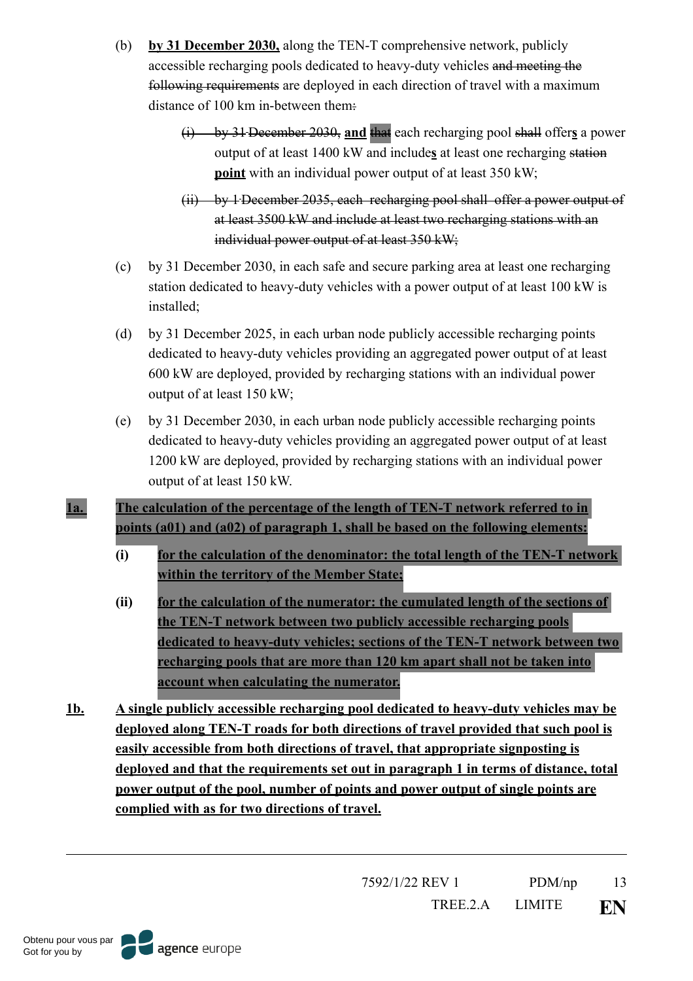- (b) **by 31 December 2030,** along the TEN-T comprehensive network, publicly accessible recharging pools dedicated to heavy-duty vehicles and meeting the following requirements are deployed in each direction of travel with a maximum distance of 100 km in-between them:
	- (i) by 31 December 2030, **and** that each recharging pool shall offer**s** a power output of at least 1400 kW and include**s** at least one recharging station **point** with an individual power output of at least 350 kW;
	- (ii) by 1 December 2035, each recharging pool shall offer a power output of at least 3500 kW and include at least two recharging stations with an individual power output of at least 350 kW;
- (c) by 31 December 2030, in each safe and secure parking area at least one recharging station dedicated to heavy-duty vehicles with a power output of at least 100 kW is installed;
- (d) by 31 December 2025, in each urban node publicly accessible recharging points dedicated to heavy-duty vehicles providing an aggregated power output of at least 600 kW are deployed, provided by recharging stations with an individual power output of at least 150 kW;
- (e) by 31 December 2030, in each urban node publicly accessible recharging points dedicated to heavy-duty vehicles providing an aggregated power output of at least 1200 kW are deployed, provided by recharging stations with an individual power output of at least 150 kW.

**1a. The calculation of the percentage of the length of TEN-T network referred to in points (a01) and (a02) of paragraph 1, shall be based on the following elements:**

- **(i) for the calculation of the denominator: the total length of the TEN-T network within the territory of the Member State;**
- **(ii) for the calculation of the numerator: the cumulated length of the sections of the TEN-T network between two publicly accessible recharging pools dedicated to heavy-duty vehicles; sections of the TEN-T network between two recharging pools that are more than 120 km apart shall not be taken into account when calculating the numerator.**
- **1b. A single publicly accessible recharging pool dedicated to heavy-duty vehicles may be deployed along TEN-T roads for both directions of travel provided that such pool is easily accessible from both directions of travel, that appropriate signposting is deployed and that the requirements set out in paragraph 1 in terms of distance, total power output of the pool, number of points and power output of single points are complied with as for two directions of travel.**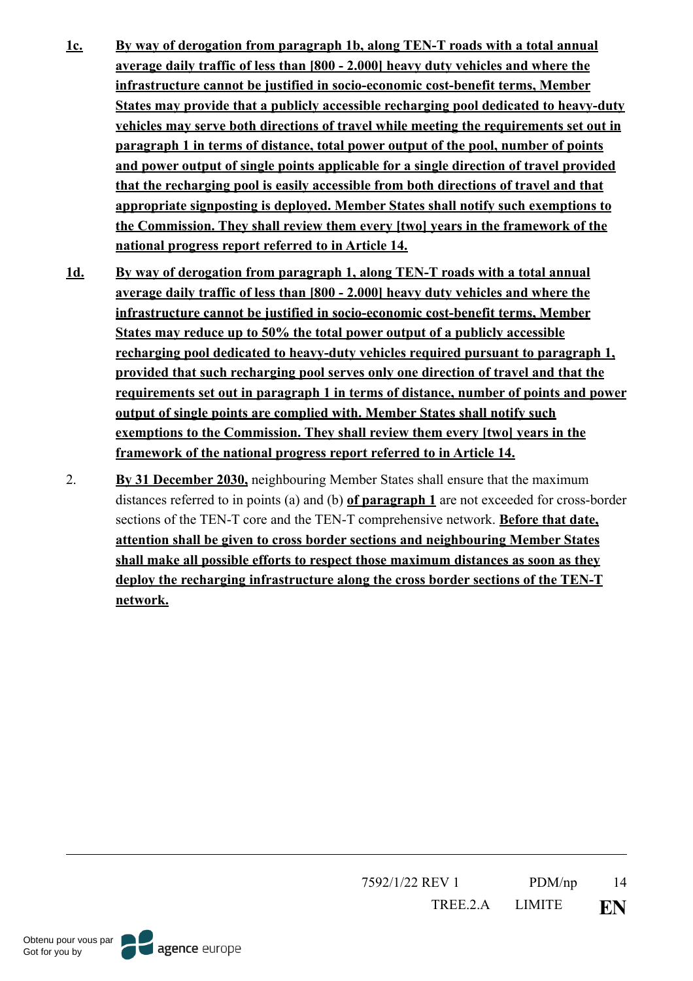- **1c. By way of derogation from paragraph 1b, along TEN-T roads with a total annual average daily traffic of less than [800 - 2.000] heavy duty vehicles and where the infrastructure cannot be justified in socio-economic cost-benefit terms, Member States may provide that a publicly accessible recharging pool dedicated to heavy-duty vehicles may serve both directions of travel while meeting the requirements set out in paragraph 1 in terms of distance, total power output of the pool, number of points and power output of single points applicable for a single direction of travel provided that the recharging pool is easily accessible from both directions of travel and that appropriate signposting is deployed. Member States shall notify such exemptions to the Commission. They shall review them every [two] years in the framework of the national progress report referred to in Article 14.**
- **1d. By way of derogation from paragraph 1, along TEN-T roads with a total annual average daily traffic of less than [800 - 2.000] heavy duty vehicles and where the infrastructure cannot be justified in socio-economic cost-benefit terms, Member States may reduce up to 50% the total power output of a publicly accessible recharging pool dedicated to heavy-duty vehicles required pursuant to paragraph 1, provided that such recharging pool serves only one direction of travel and that the requirements set out in paragraph 1 in terms of distance, number of points and power output of single points are complied with. Member States shall notify such exemptions to the Commission. They shall review them every [two] years in the framework of the national progress report referred to in Article 14.**
- 2. **By 31 December 2030,** neighbouring Member States shall ensure that the maximum distances referred to in points (a) and (b) **of paragraph 1** are not exceeded for cross-border sections of the TEN-T core and the TEN-T comprehensive network. **Before that date, attention shall be given to cross border sections and neighbouring Member States shall make all possible efforts to respect those maximum distances as soon as they deploy the recharging infrastructure along the cross border sections of the TEN-T network.**



Obtenu pour vous par Got for you by

agence europe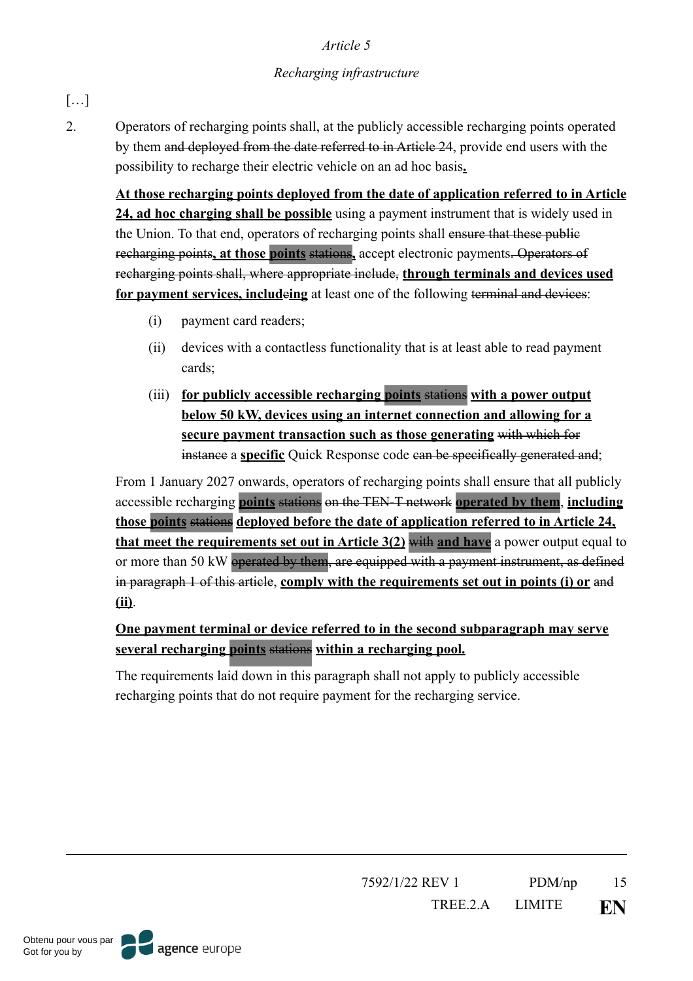# *Recharging infrastructure*

# […]

2. Operators of recharging points shall, at the publicly accessible recharging points operated by them and deployed from the date referred to in Article 24, provide end users with the possibility to recharge their electric vehicle on an ad hoc basis**.**

**At those recharging points deployed from the date of application referred to in Article 24, ad hoc charging shall be possible** using a payment instrument that is widely used in the Union. To that end, operators of recharging points shall ensure that these public recharging points**, at those points** stations**,** accept electronic payments. Operators of recharging points shall, where appropriate include, **through terminals and devices used for payment services, includeing** at least one of the following terminal and devices:

- (i) payment card readers;
- (ii) devices with a contactless functionality that is at least able to read payment cards;
- (iii) **for publicly accessible recharging points** stations **with a power output below 50 kW, devices using an internet connection and allowing for a secure payment transaction such as those generating** with which for instance a **specific** Quick Response code can be specifically generated and;

From 1 January 2027 onwards, operators of recharging points shall ensure that all publicly accessible recharging **points** stations on the TEN-T network **operated by them**, **including those points** stations **deployed before the date of application referred to in Article 24, that meet the requirements set out in Article 3(2)** with **and have** a power output equal to or more than 50 kW operated by them, are equipped with a payment instrument, as defined in paragraph 1 of this article, **comply with the requirements set out in points (i) or** and **(ii)**.

# **One payment terminal or device referred to in the second subparagraph may serve several recharging points** stations **within a recharging pool.**

The requirements laid down in this paragraph shall not apply to publicly accessible recharging points that do not require payment for the recharging service.

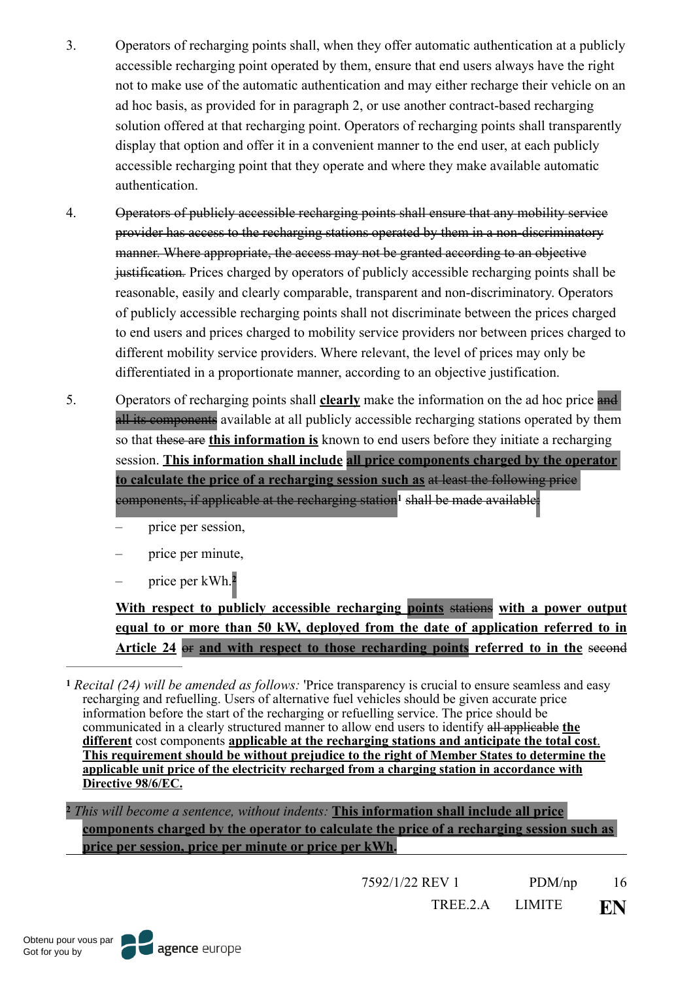- 3. Operators of recharging points shall, when they offer automatic authentication at a publicly accessible recharging point operated by them, ensure that end users always have the right not to make use of the automatic authentication and may either recharge their vehicle on an ad hoc basis, as provided for in paragraph 2, or use another contract-based recharging solution offered at that recharging point. Operators of recharging points shall transparently display that option and offer it in a convenient manner to the end user, at each publicly accessible recharging point that they operate and where they make available automatic authentication.
- 4. Operators of publicly accessible recharging points shall ensure that any mobility service provider has access to the recharging stations operated by them in a non-discriminatory manner. Where appropriate, the access may not be granted according to an objective justification*.* Prices charged by operators of publicly accessible recharging points shall be reasonable, easily and clearly comparable, transparent and non-discriminatory. Operators of publicly accessible recharging points shall not discriminate between the prices charged to end users and prices charged to mobility service providers nor between prices charged to different mobility service providers. Where relevant, the level of prices may only be differentiated in a proportionate manner, according to an objective justification.
- 5. Operators of recharging points shall **clearly** make the information on the ad hoc price and all its components available at all publicly accessible recharging stations operated by them so that these are **this information is** known to end users before they initiate a recharging session. **This information shall include all price components charged by the operator to calculate the price of a recharging session such as** at least the following price components, if applicable at the recharging station<sup>[1](#page-15-0)</sup> shall be made available:
	- price per session,
	- price per minute,
	- price per kWh.**[2](#page-15-1)**

<span id="page-15-3"></span><span id="page-15-2"></span>**With respect to publicly accessible recharging points** stations **with a power output equal to or more than 50 kW, deployed from the date of application referred to in Article 24** or **and with respect to those recharding points referred to in the** second

<span id="page-15-0"></span>*Recital (24) will be amended as follows:* 'Price transparency is crucial to ensure seamless and easy **[1](#page-15-2)** recharging and refuelling. Users of alternative fuel vehicles should be given accurate price information before the start of the recharging or refuelling service. The price should be communicated in a clearly structured manner to allow end users to identify all applicable **the different** cost components **applicable at the recharging stations and anticipate the total cost**. **This requirement should be without prejudice to the right of Member States to determine the applicable unit price of the electricity recharged from a charging station in accordance with Directive 98/6/EC.**

<span id="page-15-1"></span>*This will become a sentence, without indents:* **This information shall include all price [2](#page-15-3) components charged by the operator to calculate the price of a recharging session such as price per session, price per minute or price per kWh.**

7592/1/22 REV 1 PDM/np 16

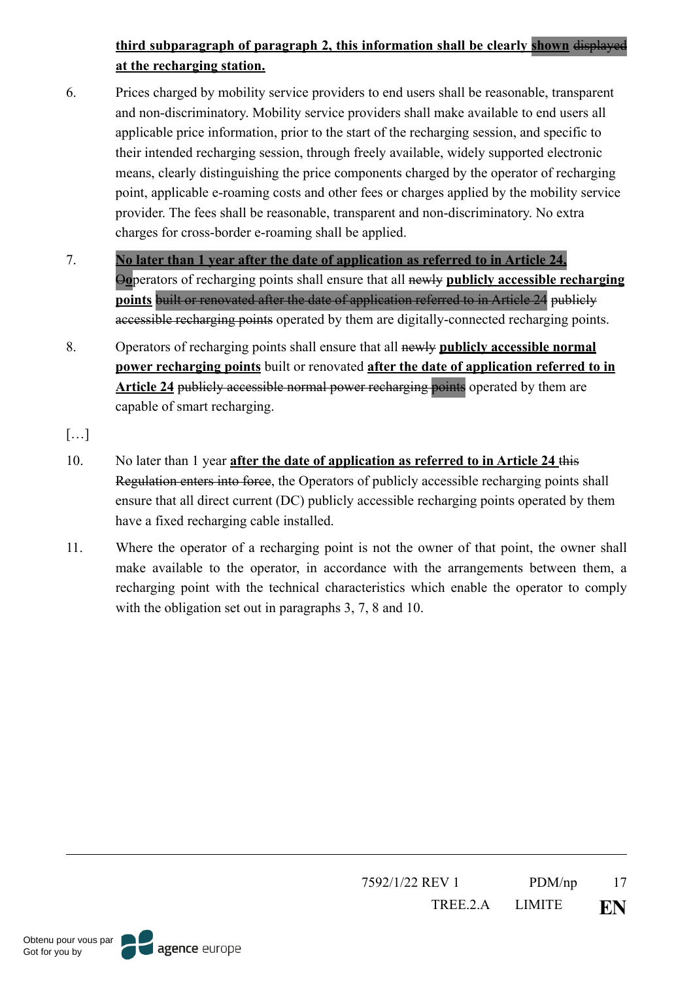# **third subparagraph of paragraph 2, this information shall be clearly shown** displayed **at the recharging station.**

- 6. Prices charged by mobility service providers to end users shall be reasonable, transparent and non-discriminatory. Mobility service providers shall make available to end users all applicable price information, prior to the start of the recharging session, and specific to their intended recharging session, through freely available, widely supported electronic means, clearly distinguishing the price components charged by the operator of recharging point, applicable e-roaming costs and other fees or charges applied by the mobility service provider. The fees shall be reasonable, transparent and non-discriminatory. No extra charges for cross-border e-roaming shall be applied.
- 7. **No later than 1 year after the date of application as referred to in Article 24,** O**o**perators of recharging points shall ensure that all newly **publicly accessible recharging points** built or renovated after the date of application referred to in Article 24 publicly accessible recharging points operated by them are digitally-connected recharging points.
- 8. Operators of recharging points shall ensure that all newly **publicly accessible normal power recharging points** built or renovated **after the date of application referred to in Article 24** publicly accessible normal power recharging points operated by them are capable of smart recharging.
- $[\ldots]$
- 10. No later than 1 year **after the date of application as referred to in Article 24** this Regulation enters into force, the Operators of publicly accessible recharging points shall ensure that all direct current (DC) publicly accessible recharging points operated by them have a fixed recharging cable installed.
- 11. Where the operator of a recharging point is not the owner of that point, the owner shall make available to the operator, in accordance with the arrangements between them, a recharging point with the technical characteristics which enable the operator to comply with the obligation set out in paragraphs 3, 7, 8 and 10.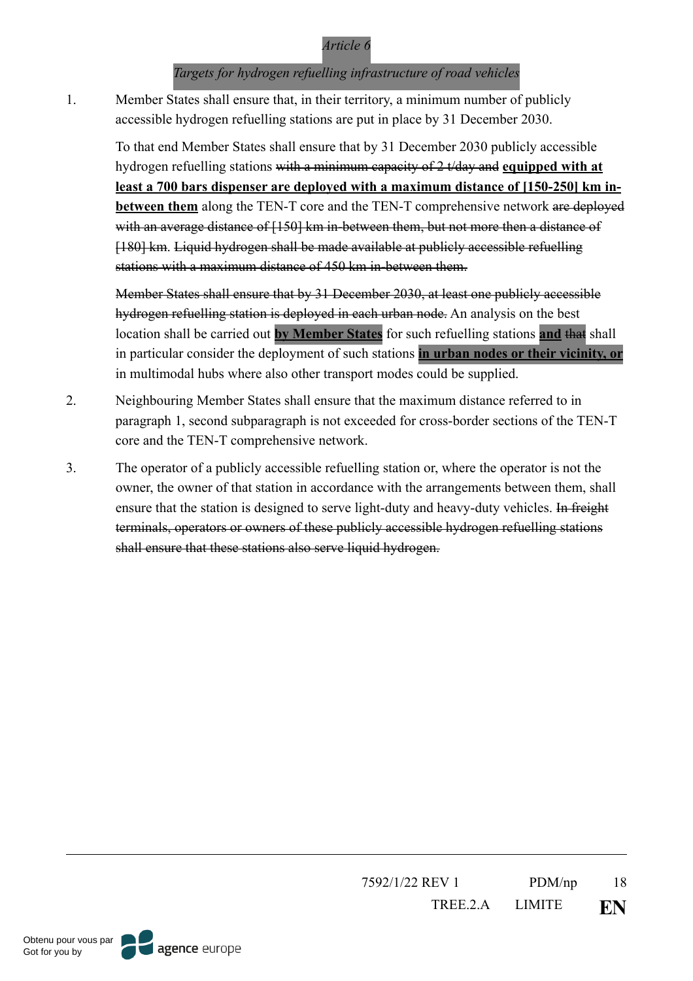#### *Targets for hydrogen refuelling infrastructure of road vehicles*

1. Member States shall ensure that, in their territory, a minimum number of publicly accessible hydrogen refuelling stations are put in place by 31 December 2030.

To that end Member States shall ensure that by 31 December 2030 publicly accessible hydrogen refuelling stations with a minimum capacity of 2 t/day and **equipped with at least a 700 bars dispenser are deployed with a maximum distance of [150-250] km inbetween them** along the TEN-T core and the TEN-T comprehensive network are deployed with an average distance of [150] km in-between them, but not more then a distance of [180] km. Liquid hydrogen shall be made available at publicly accessible refuelling stations with a maximum distance of 450 km in-between them.

Member States shall ensure that by 31 December 2030, at least one publicly accessible hydrogen refuelling station is deployed in each urban node. An analysis on the best location shall be carried out **by Member States** for such refuelling stations **and** that shall in particular consider the deployment of such stations **in urban nodes or their vicinity, or** in multimodal hubs where also other transport modes could be supplied.

- 2. Neighbouring Member States shall ensure that the maximum distance referred to in paragraph 1, second subparagraph is not exceeded for cross-border sections of the TEN-T core and the TEN-T comprehensive network.
- 3. The operator of a publicly accessible refuelling station or, where the operator is not the owner, the owner of that station in accordance with the arrangements between them, shall ensure that the station is designed to serve light-duty and heavy-duty vehicles. In freight terminals, operators or owners of these publicly accessible hydrogen refuelling stations shall ensure that these stations also serve liquid hydrogen.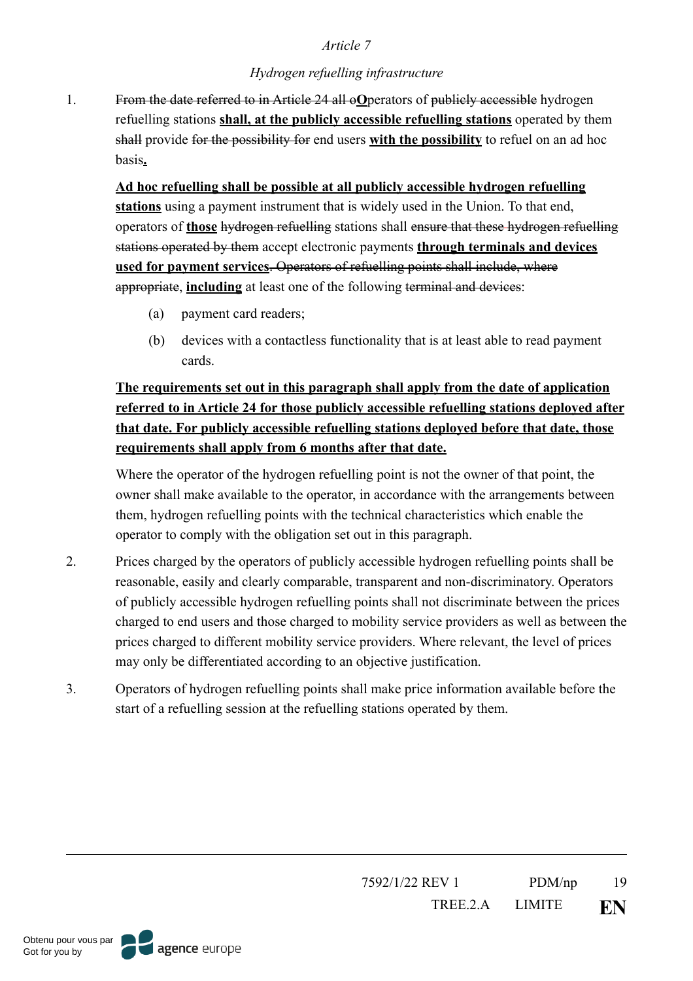#### *Hydrogen refuelling infrastructure*

1. From the date referred to in Article 24 all o**O**perators of publicly accessible hydrogen refuelling stations **shall, at the publicly accessible refuelling stations** operated by them shall provide for the possibility for end users **with the possibility** to refuel on an ad hoc basis**.**

**Ad hoc refuelling shall be possible at all publicly accessible hydrogen refuelling stations** using a payment instrument that is widely used in the Union. To that end, operators of **those** hydrogen refuelling stations shall ensure that these hydrogen refuelling stations operated by them accept electronic payments **through terminals and devices used for payment services**. Operators of refuelling points shall include, where appropriate, **including** at least one of the following terminal and devices:

- (a) payment card readers;
- (b) devices with a contactless functionality that is at least able to read payment cards.

# **The requirements set out in this paragraph shall apply from the date of application referred to in Article 24 for those publicly accessible refuelling stations deployed after that date. For publicly accessible refuelling stations deployed before that date, those requirements shall apply from 6 months after that date.**

Where the operator of the hydrogen refuelling point is not the owner of that point, the owner shall make available to the operator, in accordance with the arrangements between them, hydrogen refuelling points with the technical characteristics which enable the operator to comply with the obligation set out in this paragraph.

- 2. Prices charged by the operators of publicly accessible hydrogen refuelling points shall be reasonable, easily and clearly comparable, transparent and non-discriminatory. Operators of publicly accessible hydrogen refuelling points shall not discriminate between the prices charged to end users and those charged to mobility service providers as well as between the prices charged to different mobility service providers. Where relevant, the level of prices may only be differentiated according to an objective justification.
- 3. Operators of hydrogen refuelling points shall make price information available before the start of a refuelling session at the refuelling stations operated by them.

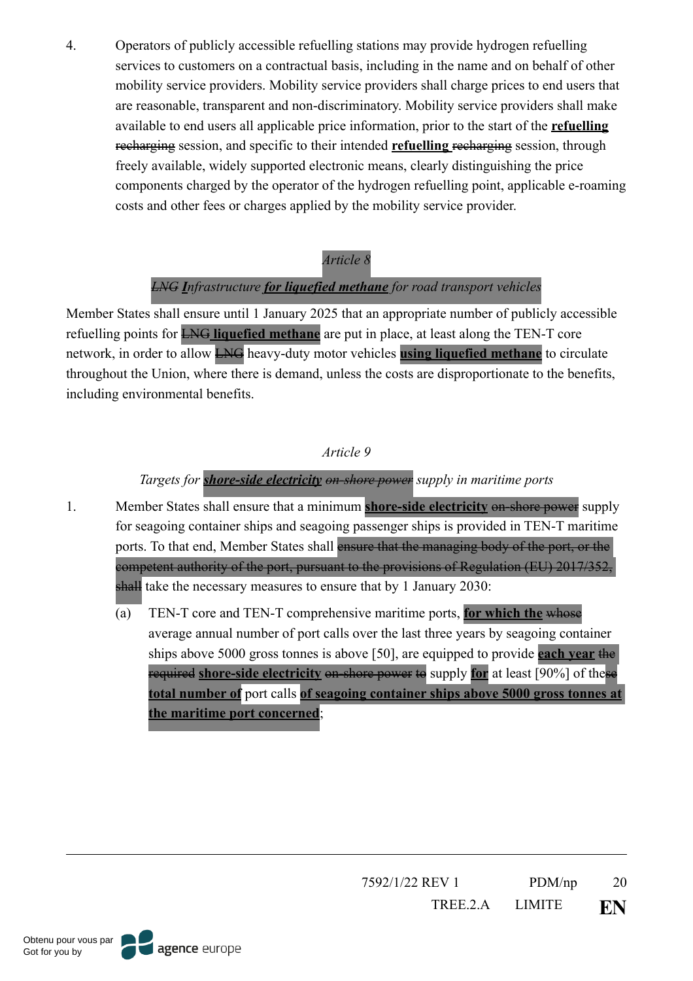4. Operators of publicly accessible refuelling stations may provide hydrogen refuelling services to customers on a contractual basis, including in the name and on behalf of other mobility service providers. Mobility service providers shall charge prices to end users that are reasonable, transparent and non-discriminatory. Mobility service providers shall make available to end users all applicable price information, prior to the start of the **refuelling**  recharging session, and specific to their intended **refuelling** recharging session, through freely available, widely supported electronic means, clearly distinguishing the price components charged by the operator of the hydrogen refuelling point, applicable e-roaming costs and other fees or charges applied by the mobility service provider.

#### *Article 8*

# *LNG Infrastructure for liquefied methane for road transport vehicles*

Member States shall ensure until 1 January 2025 that an appropriate number of publicly accessible refuelling points for LNG **liquefied methane** are put in place, at least along the TEN-T core network, in order to allow LNG heavy-duty motor vehicles **using liquefied methane** to circulate throughout the Union, where there is demand, unless the costs are disproportionate to the benefits, including environmental benefits.

# *Article 9*

# *Targets for shore-side electricity on-shore power supply in maritime ports*

- 1. Member States shall ensure that a minimum **shore-side electricity** on-shore power supply for seagoing container ships and seagoing passenger ships is provided in TEN-T maritime ports. To that end, Member States shall ensure that the managing body of the port, or the competent authority of the port, pursuant to the provisions of Regulation (EU) 2017/352, shall take the necessary measures to ensure that by 1 January 2030:
	- (a) TEN-T core and TEN-T comprehensive maritime ports, **for which the** whose average annual number of port calls over the last three years by seagoing container ships above 5000 gross tonnes is above [50], are equipped to provide **each year** the required **shore-side electricity** on-shore power to supply **for** at least [90%] of these **total number of** port calls **of seagoing container ships above 5000 gross tonnes at the maritime port concerned**;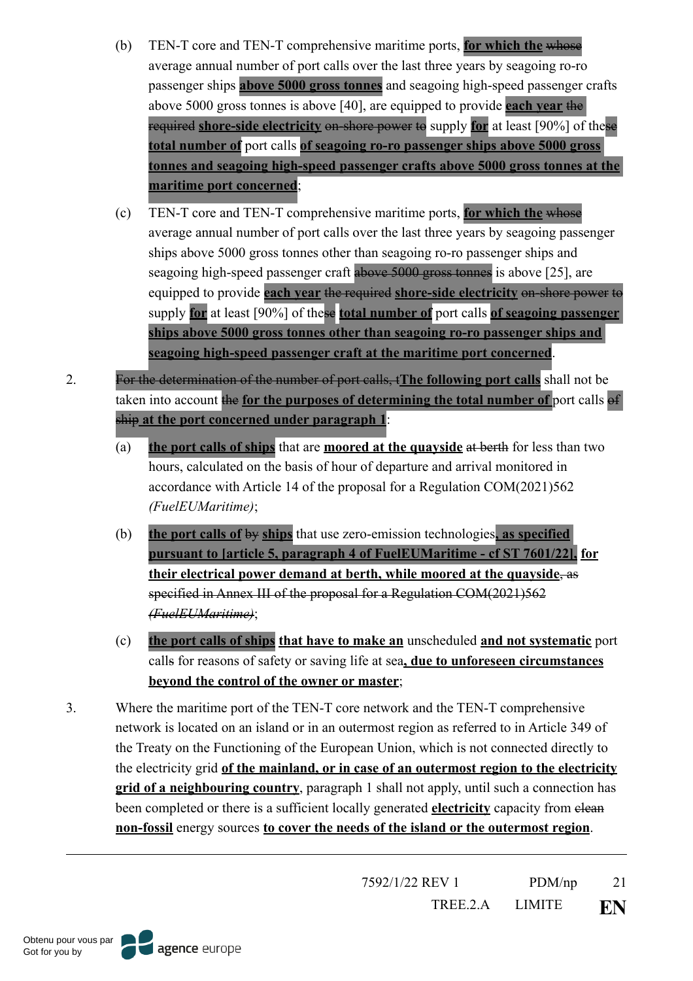- (b) TEN-T core and TEN-T comprehensive maritime ports, **for which the** whose average annual number of port calls over the last three years by seagoing ro-ro passenger ships **above 5000 gross tonnes** and seagoing high-speed passenger crafts above 5000 gross tonnes is above [40], are equipped to provide **each year** the required **shore-side electricity** on-shore power to supply **for** at least [90%] of these **total number of** port calls **of seagoing ro-ro passenger ships above 5000 gross tonnes and seagoing high-speed passenger crafts above 5000 gross tonnes at the maritime port concerned**;
- (c) TEN-T core and TEN-T comprehensive maritime ports, **for which the** whose average annual number of port calls over the last three years by seagoing passenger ships above 5000 gross tonnes other than seagoing ro-ro passenger ships and seagoing high-speed passenger craft above 5000 gross tonnes is above [25], are equipped to provide **each year** the required **shore-side electricity** on-shore power to supply **for** at least [90%] of these **total number of** port calls **of seagoing passenger ships above 5000 gross tonnes other than seagoing ro-ro passenger ships and seagoing high-speed passenger craft at the maritime port concerned**.
- 2. For the determination of the number of port calls, t**The following port calls** shall not be taken into account the **for the purposes of determining the total number of** port calls of ship **at the port concerned under paragraph 1**:
	- (a) **the port calls of ships** that are **moored at the quayside** at berth for less than two hours, calculated on the basis of hour of departure and arrival monitored in accordance with Article 14 of the proposal for a Regulation COM(2021)562 *(FuelEUMaritime)*;
	- (b) **the port calls of** by **ships** that use zero-emission technologies**, as specified pursuant to [article 5, paragraph 4 of FuelEUMaritime - cf ST 7601/22], for their electrical power demand at berth, while moored at the quayside**, as specified in Annex III of the proposal for a Regulation COM(2021)562 *(FuelEUMaritime)*;
	- (c) **the port calls of ships that have to make an** unscheduled **and not systematic** port calls for reasons of safety or saving life at sea**, due to unforeseen circumstances beyond the control of the owner or master**;
- 3. Where the maritime port of the TEN-T core network and the TEN-T comprehensive network is located on an island or in an outermost region as referred to in Article 349 of the Treaty on the Functioning of the European Union, which is not connected directly to the electricity grid **of the mainland, or in case of an outermost region to the electricity grid of a neighbouring country**, paragraph 1 shall not apply, until such a connection has been completed or there is a sufficient locally generated **electricity** capacity from elean **non-fossil** energy sources **to cover the needs of the island or the outermost region**.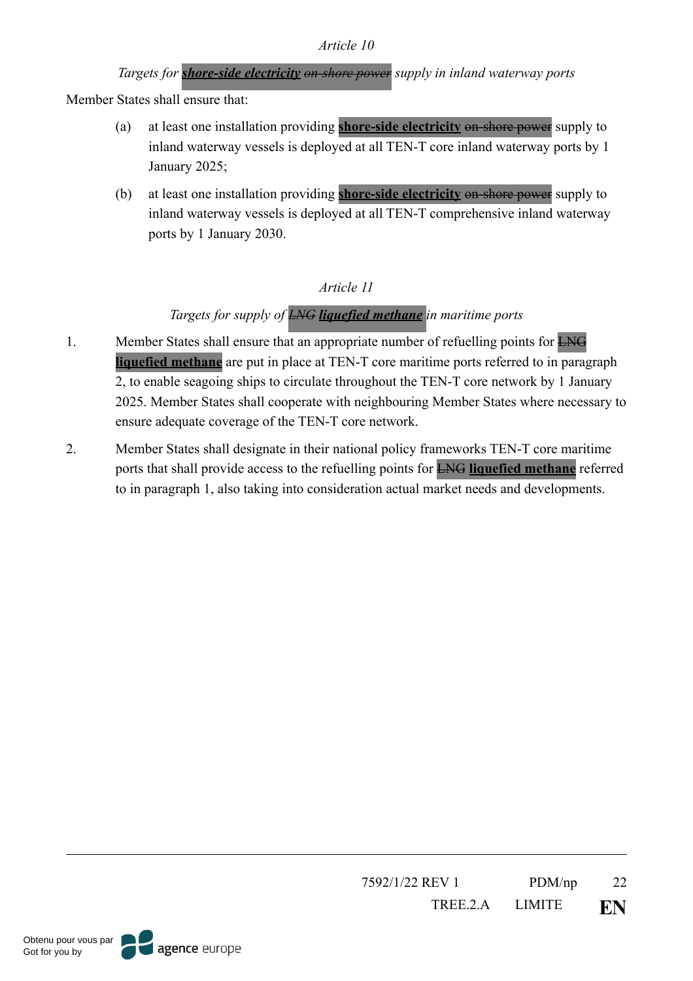# *Targets for shore-side electricity on-shore power supply in inland waterway ports*

Member States shall ensure that:

- (a) at least one installation providing **shore-side electricity** on-shore power supply to inland waterway vessels is deployed at all TEN-T core inland waterway ports by 1 January 2025;
- (b) at least one installation providing **shore-side electricity** on-shore power supply to inland waterway vessels is deployed at all TEN-T comprehensive inland waterway ports by 1 January 2030.

## *Article 11*

## *Targets for supply of LNG liquefied methane in maritime ports*

- 1. Member States shall ensure that an appropriate number of refuelling points for LNG **liquefied methane** are put in place at TEN-T core maritime ports referred to in paragraph 2, to enable seagoing ships to circulate throughout the TEN-T core network by 1 January 2025. Member States shall cooperate with neighbouring Member States where necessary to ensure adequate coverage of the TEN-T core network.
- 2. Member States shall designate in their national policy frameworks TEN-T core maritime ports that shall provide access to the refuelling points for LNG **liquefied methane** referred to in paragraph 1, also taking into consideration actual market needs and developments.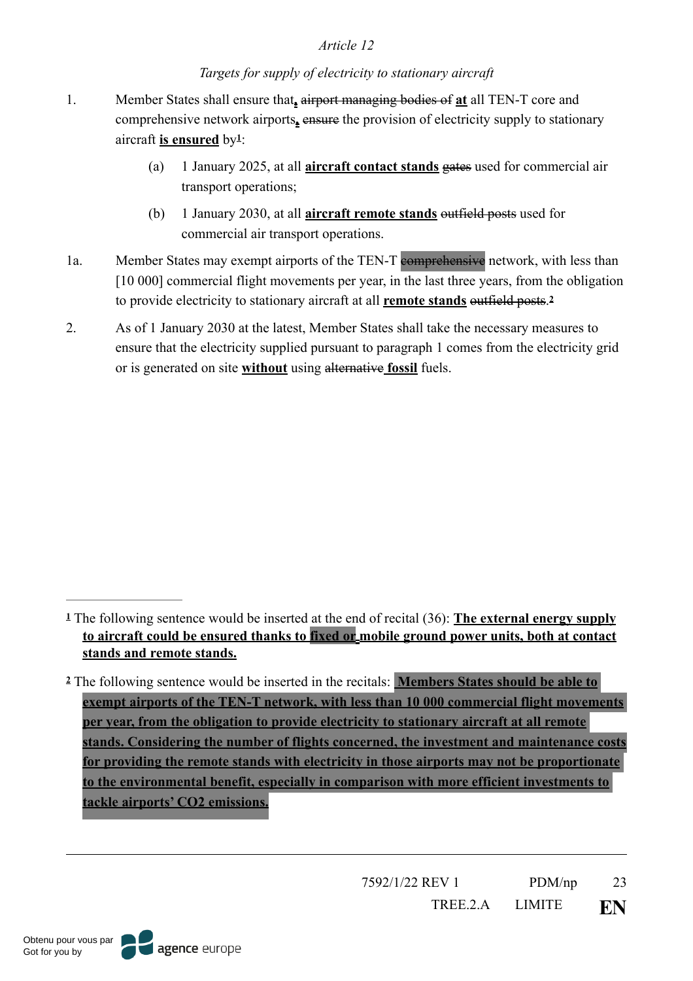#### <span id="page-22-3"></span><span id="page-22-2"></span>*Targets for supply of electricity to stationary aircraft*

- 1. Member States shall ensure that**,** airport managing bodies of **at** all TEN-T core and comprehensive network airports**,** ensure the provision of electricity supply to stationary aircraft is ensured by<sup>[1](#page-22-0)</sup>:
	- (a) 1 January 2025, at all **aircraft contact stands** gates used for commercial air transport operations;
	- (b) 1 January 2030, at all **aircraft remote stands** outfield posts used for commercial air transport operations.
- 1a. Member States may exempt airports of the TEN-T comprehensive network, with less than [10 000] commercial flight movements per year, in the last three years, from the obligation to provide electricity to stationary aircraft at all **remote stands** outfield posts.**[2](#page-22-1)**
- 2. As of 1 January 2030 at the latest, Member States shall take the necessary measures to ensure that the electricity supplied pursuant to paragraph 1 comes from the electricity grid or is generated on site **without** using alternative **fossil** fuels.

<span id="page-22-0"></span>The following sentence would be inserted at the end of recital (36): **The external energy supply [1](#page-22-2) to aircraft could be ensured thanks to fixed or mobile ground power units, both at contact stands and remote stands.** 

<span id="page-22-1"></span>The following sentence would be inserted in the recitals: **Members States should be able to [2](#page-22-3) exempt airports of the TEN-T network, with less than 10 000 commercial flight movements per year, from the obligation to provide electricity to stationary aircraft at all remote stands. Considering the number of flights concerned, the investment and maintenance costs for providing the remote stands with electricity in those airports may not be proportionate to the environmental benefit, especially in comparison with more efficient investments to tackle airports' CO2 emissions.**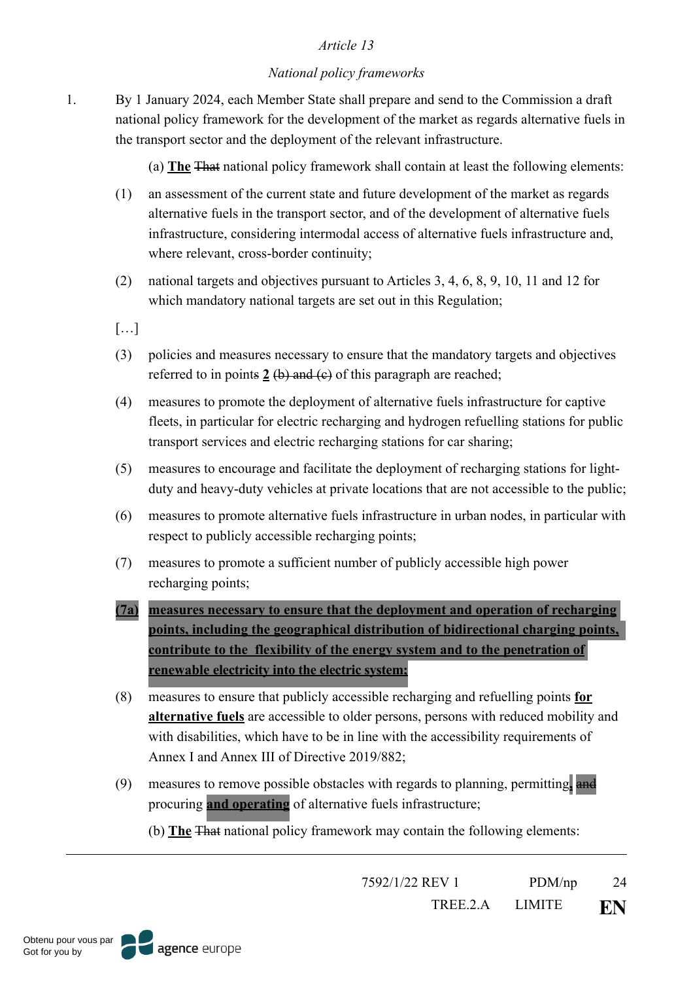#### *National policy frameworks*

1. By 1 January 2024, each Member State shall prepare and send to the Commission a draft national policy framework for the development of the market as regards alternative fuels in the transport sector and the deployment of the relevant infrastructure.

(a) **The** That national policy framework shall contain at least the following elements:

- (1) an assessment of the current state and future development of the market as regards alternative fuels in the transport sector, and of the development of alternative fuels infrastructure, considering intermodal access of alternative fuels infrastructure and, where relevant, cross-border continuity;
- (2) national targets and objectives pursuant to Articles 3, 4, 6, 8, 9, 10, 11 and 12 for which mandatory national targets are set out in this Regulation;
- […]
- (3) policies and measures necessary to ensure that the mandatory targets and objectives referred to in points  $2(b)$  and  $(c)$  of this paragraph are reached;
- (4) measures to promote the deployment of alternative fuels infrastructure for captive fleets, in particular for electric recharging and hydrogen refuelling stations for public transport services and electric recharging stations for car sharing;
- (5) measures to encourage and facilitate the deployment of recharging stations for lightduty and heavy-duty vehicles at private locations that are not accessible to the public;
- (6) measures to promote alternative fuels infrastructure in urban nodes, in particular with respect to publicly accessible recharging points;
- (7) measures to promote a sufficient number of publicly accessible high power recharging points;
- **(7a) measures necessary to ensure that the deployment and operation of recharging points, including the geographical distribution of bidirectional charging points, contribute to the flexibility of the energy system and to the penetration of renewable electricity into the electric system;**
- (8) measures to ensure that publicly accessible recharging and refuelling points **for alternative fuels** are accessible to older persons, persons with reduced mobility and with disabilities, which have to be in line with the accessibility requirements of Annex I and Annex III of Directive 2019/882;
- (9) measures to remove possible obstacles with regards to planning, permitting**,** and procuring **and operating** of alternative fuels infrastructure;

(b) **The** That national policy framework may contain the following elements:

7592/1/22 REV 1 PDM/np 24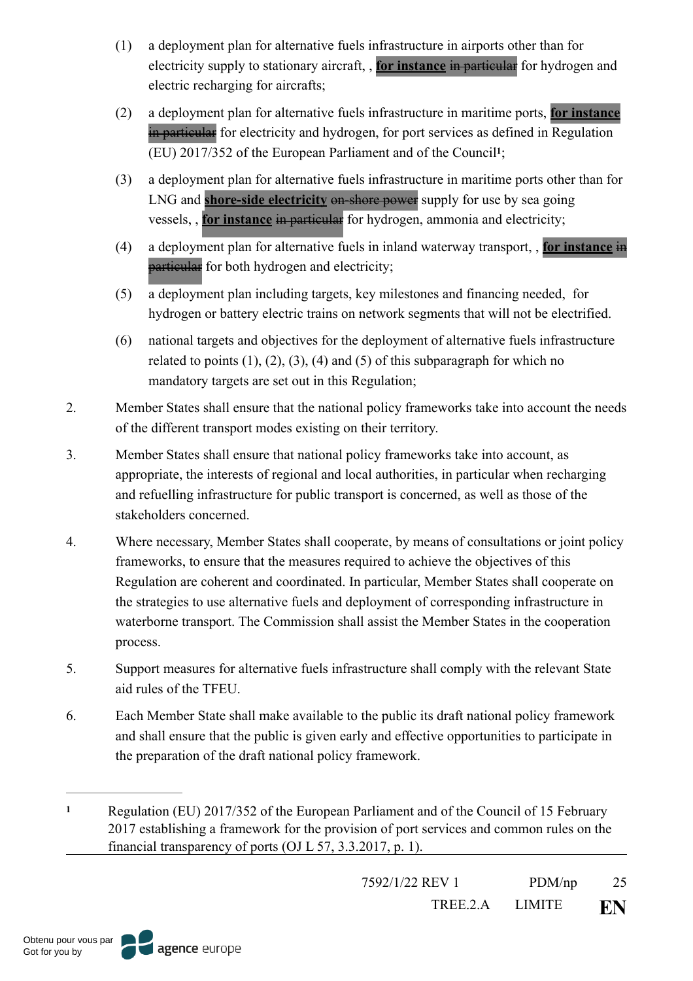- (1) a deployment plan for alternative fuels infrastructure in airports other than for electricity supply to stationary aircraft, , **for instance** in particular for hydrogen and electric recharging for aircrafts;
- (2) a deployment plan for alternative fuels infrastructure in maritime ports, **for instance** in particular for electricity and hydrogen, for port services as defined in Regulation (EU)  $2017/352$  $2017/352$  $2017/352$  of the European Parliament and of the Council<sup>1</sup>;
- <span id="page-24-1"></span>(3) a deployment plan for alternative fuels infrastructure in maritime ports other than for LNG and **shore-side electricity** on-shore power supply for use by sea going vessels, , **for instance** in particular for hydrogen, ammonia and electricity;
- (4) a deployment plan for alternative fuels in inland waterway transport, , **for instance** in particular for both hydrogen and electricity;
- (5) a deployment plan including targets, key milestones and financing needed, for hydrogen or battery electric trains on network segments that will not be electrified.
- (6) national targets and objectives for the deployment of alternative fuels infrastructure related to points  $(1)$ ,  $(2)$ ,  $(3)$ ,  $(4)$  and  $(5)$  of this subparagraph for which no mandatory targets are set out in this Regulation;
- 2. Member States shall ensure that the national policy frameworks take into account the needs of the different transport modes existing on their territory.
- 3. Member States shall ensure that national policy frameworks take into account, as appropriate, the interests of regional and local authorities, in particular when recharging and refuelling infrastructure for public transport is concerned, as well as those of the stakeholders concerned.
- 4. Where necessary, Member States shall cooperate, by means of consultations or joint policy frameworks, to ensure that the measures required to achieve the objectives of this Regulation are coherent and coordinated. In particular, Member States shall cooperate on the strategies to use alternative fuels and deployment of corresponding infrastructure in waterborne transport. The Commission shall assist the Member States in the cooperation process.
- 5. Support measures for alternative fuels infrastructure shall comply with the relevant State aid rules of the TFEU.
- 6. Each Member State shall make available to the public its draft national policy framework and shall ensure that the public is given early and effective opportunities to participate in the preparation of the draft national policy framework.

7592/1/22 REV 1 PDM/np 25

<span id="page-24-0"></span>Regulation (EU) 2017/352 of the European Parliament and of the Council of 15 February **[1](#page-24-1)** 2017 establishing a framework for the provision of port services and common rules on the financial transparency of ports (OJ L 57, 3.3.2017, p. 1).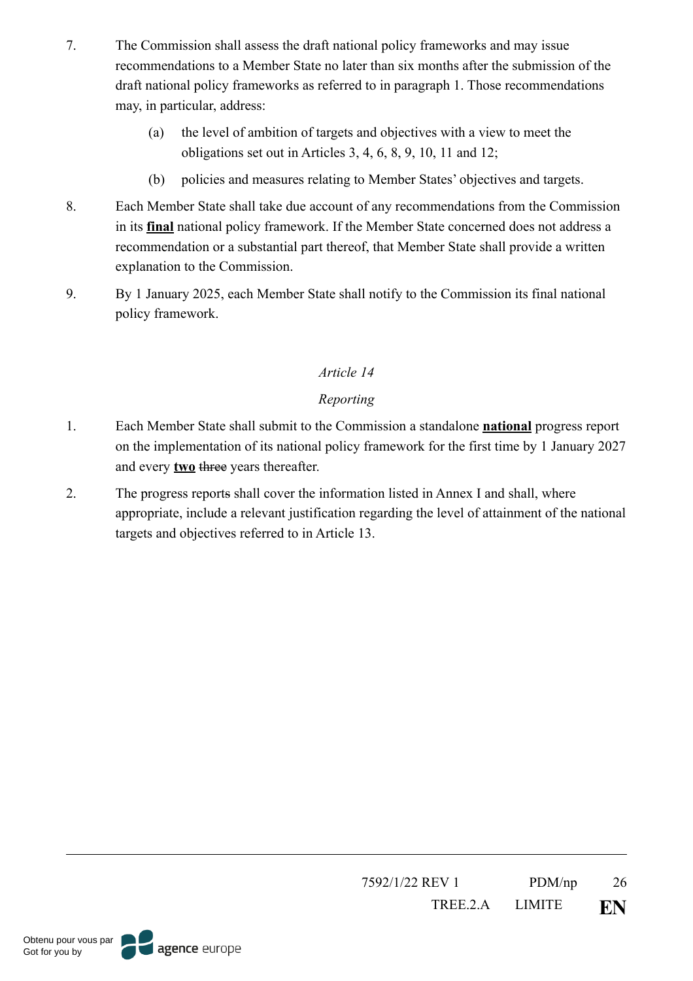- 7. The Commission shall assess the draft national policy frameworks and may issue recommendations to a Member State no later than six months after the submission of the draft national policy frameworks as referred to in paragraph 1. Those recommendations may, in particular, address:
	- (a) the level of ambition of targets and objectives with a view to meet the obligations set out in Articles 3, 4, 6, 8, 9, 10, 11 and 12;
	- (b) policies and measures relating to Member States' objectives and targets.
- 8. Each Member State shall take due account of any recommendations from the Commission in its **final** national policy framework. If the Member State concerned does not address a recommendation or a substantial part thereof, that Member State shall provide a written explanation to the Commission.
- 9. By 1 January 2025, each Member State shall notify to the Commission its final national policy framework.

# *Reporting*

- 1. Each Member State shall submit to the Commission a standalone **national** progress report on the implementation of its national policy framework for the first time by 1 January 2027 and every **two** three years thereafter.
- 2. The progress reports shall cover the information listed in Annex I and shall, where appropriate, include a relevant justification regarding the level of attainment of the national targets and objectives referred to in Article 13.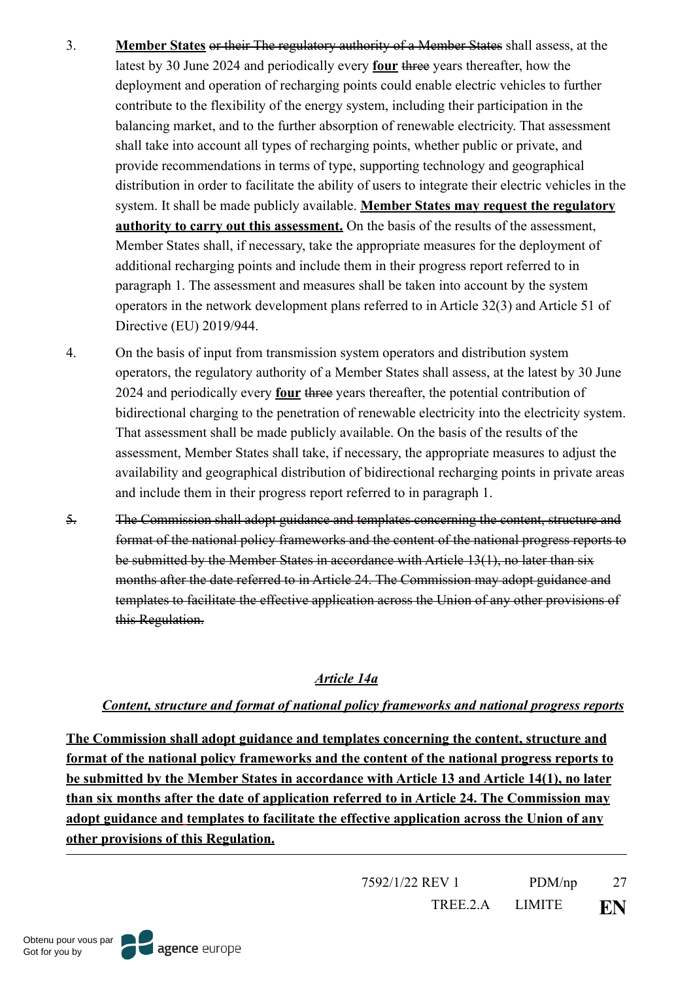- 3. **Member States** or their The regulatory authority of a Member States shall assess, at the latest by 30 June 2024 and periodically every **four** three years thereafter, how the deployment and operation of recharging points could enable electric vehicles to further contribute to the flexibility of the energy system, including their participation in the balancing market, and to the further absorption of renewable electricity. That assessment shall take into account all types of recharging points, whether public or private, and provide recommendations in terms of type, supporting technology and geographical distribution in order to facilitate the ability of users to integrate their electric vehicles in the system. It shall be made publicly available. **Member States may request the regulatory authority to carry out this assessment.** On the basis of the results of the assessment, Member States shall, if necessary, take the appropriate measures for the deployment of additional recharging points and include them in their progress report referred to in paragraph 1. The assessment and measures shall be taken into account by the system operators in the network development plans referred to in Article 32(3) and Article 51 of Directive (EU) 2019/944.
- 4. On the basis of input from transmission system operators and distribution system operators, the regulatory authority of a Member States shall assess, at the latest by 30 June 2024 and periodically every **four** three years thereafter, the potential contribution of bidirectional charging to the penetration of renewable electricity into the electricity system. That assessment shall be made publicly available. On the basis of the results of the assessment, Member States shall take, if necessary, the appropriate measures to adjust the availability and geographical distribution of bidirectional recharging points in private areas and include them in their progress report referred to in paragraph 1.
- 5. The Commission shall adopt guidance and templates concerning the content, structure and format of the national policy frameworks and the content of the national progress reports to be submitted by the Member States in accordance with Article 13(1), no later than six months after the date referred to in Article 24. The Commission may adopt guidance and templates to facilitate the effective application across the Union of any other provisions of this Regulation.

#### *Article 14a*

# *Content, structure and format of national policy frameworks and national progress reports*

**The Commission shall adopt guidance and templates concerning the content, structure and format of the national policy frameworks and the content of the national progress reports to be submitted by the Member States in accordance with Article 13 and Article 14(1), no later than six months after the date of application referred to in Article 24. The Commission may adopt guidance and templates to facilitate the effective application across the Union of any other provisions of this Regulation.**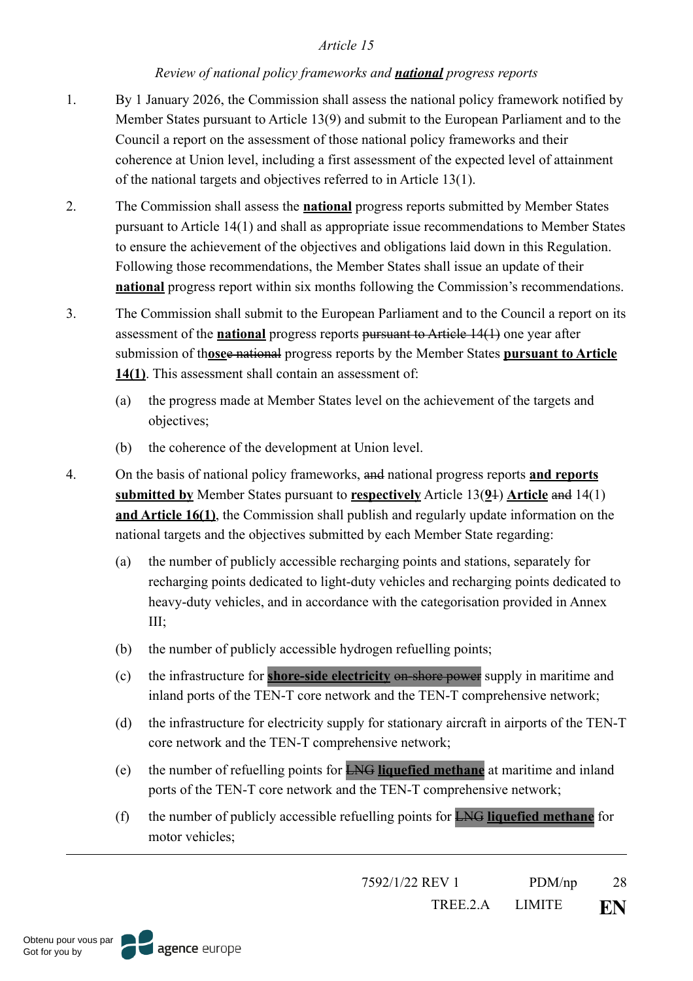#### *Review of national policy frameworks and national progress reports*

- 1. By 1 January 2026, the Commission shall assess the national policy framework notified by Member States pursuant to Article 13(9) and submit to the European Parliament and to the Council a report on the assessment of those national policy frameworks and their coherence at Union level, including a first assessment of the expected level of attainment of the national targets and objectives referred to in Article 13(1).
- 2. The Commission shall assess the **national** progress reports submitted by Member States pursuant to Article 14(1) and shall as appropriate issue recommendations to Member States to ensure the achievement of the objectives and obligations laid down in this Regulation. Following those recommendations, the Member States shall issue an update of their **national** progress report within six months following the Commission's recommendations.
- 3. The Commission shall submit to the European Parliament and to the Council a report on its assessment of the **national** progress reports pursuant to Article 14(1) one year after submission of th**ose**e national progress reports by the Member States **pursuant to Article 14(1)**. This assessment shall contain an assessment of:
	- (a) the progress made at Member States level on the achievement of the targets and objectives;
	- (b) the coherence of the development at Union level.
- 4. On the basis of national policy frameworks, and national progress reports **and reports submitted by** Member States pursuant to **respectively** Article 13(**9**1) **Article** and 14(1) **and Article 16(1)**, the Commission shall publish and regularly update information on the national targets and the objectives submitted by each Member State regarding:
	- (a) the number of publicly accessible recharging points and stations, separately for recharging points dedicated to light-duty vehicles and recharging points dedicated to heavy-duty vehicles, and in accordance with the categorisation provided in Annex III;
	- (b) the number of publicly accessible hydrogen refuelling points;
	- (c) the infrastructure for **shore-side electricity** on-shore power supply in maritime and inland ports of the TEN-T core network and the TEN-T comprehensive network;
	- (d) the infrastructure for electricity supply for stationary aircraft in airports of the TEN-T core network and the TEN-T comprehensive network;
	- (e) the number of refuelling points for LNG **liquefied methane** at maritime and inland ports of the TEN-T core network and the TEN-T comprehensive network;
	- (f) the number of publicly accessible refuelling points for LNG **liquefied methane** for motor vehicles;

7592/1/22 REV 1 PDM/np 28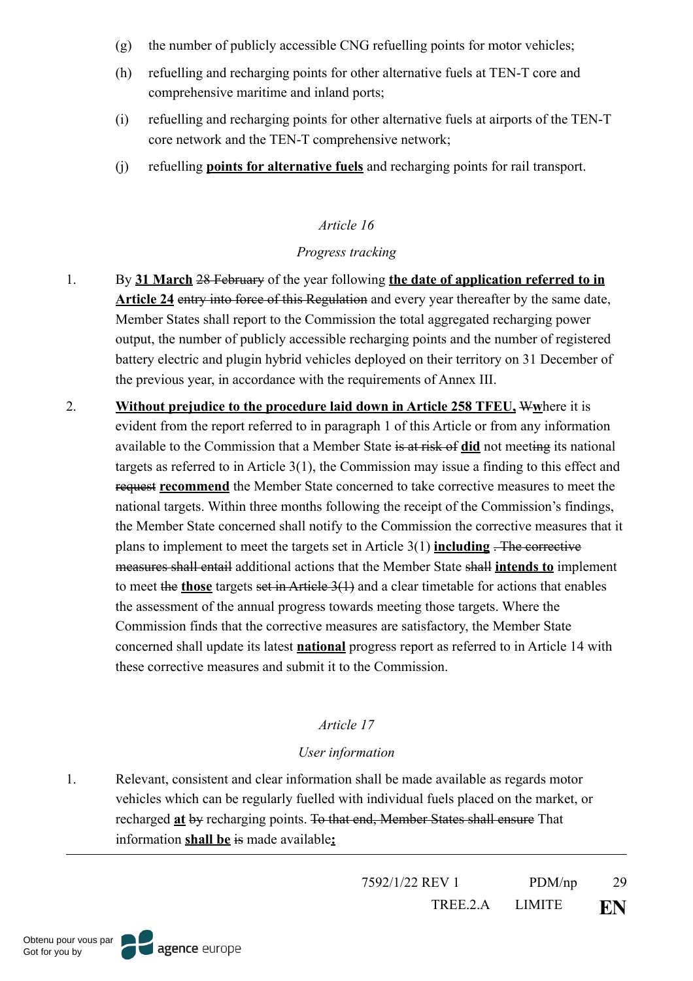- (g) the number of publicly accessible CNG refuelling points for motor vehicles;
- (h) refuelling and recharging points for other alternative fuels at TEN-T core and comprehensive maritime and inland ports;
- (i) refuelling and recharging points for other alternative fuels at airports of the TEN-T core network and the TEN-T comprehensive network;
- (j) refuelling **points for alternative fuels** and recharging points for rail transport.

## *Progress tracking*

- 1. By **31 March** 28 February of the year following **the date of application referred to in Article 24** entry into force of this Regulation and every year thereafter by the same date, Member States shall report to the Commission the total aggregated recharging power output, the number of publicly accessible recharging points and the number of registered battery electric and plugin hybrid vehicles deployed on their territory on 31 December of the previous year, in accordance with the requirements of Annex III.
- 2. **Without prejudice to the procedure laid down in Article 258 TFEU,** W**w**here it is evident from the report referred to in paragraph 1 of this Article or from any information available to the Commission that a Member State is at risk of **did** not meeting its national targets as referred to in Article 3(1), the Commission may issue a finding to this effect and request **recommend** the Member State concerned to take corrective measures to meet the national targets. Within three months following the receipt of the Commission's findings, the Member State concerned shall notify to the Commission the corrective measures that it plans to implement to meet the targets set in Article 3(1) **including** . The corrective measures shall entail additional actions that the Member State shall **intends to** implement to meet the **those** targets set in Article 3(1) and a clear timetable for actions that enables the assessment of the annual progress towards meeting those targets. Where the Commission finds that the corrective measures are satisfactory, the Member State concerned shall update its latest **national** progress report as referred to in Article 14 with these corrective measures and submit it to the Commission.

# *Article 17*

#### *User information*

1. Relevant, consistent and clear information shall be made available as regards motor vehicles which can be regularly fuelled with individual fuels placed on the market, or recharged **at** by recharging points. To that end, Member States shall ensure That information **shall be** is made available**:**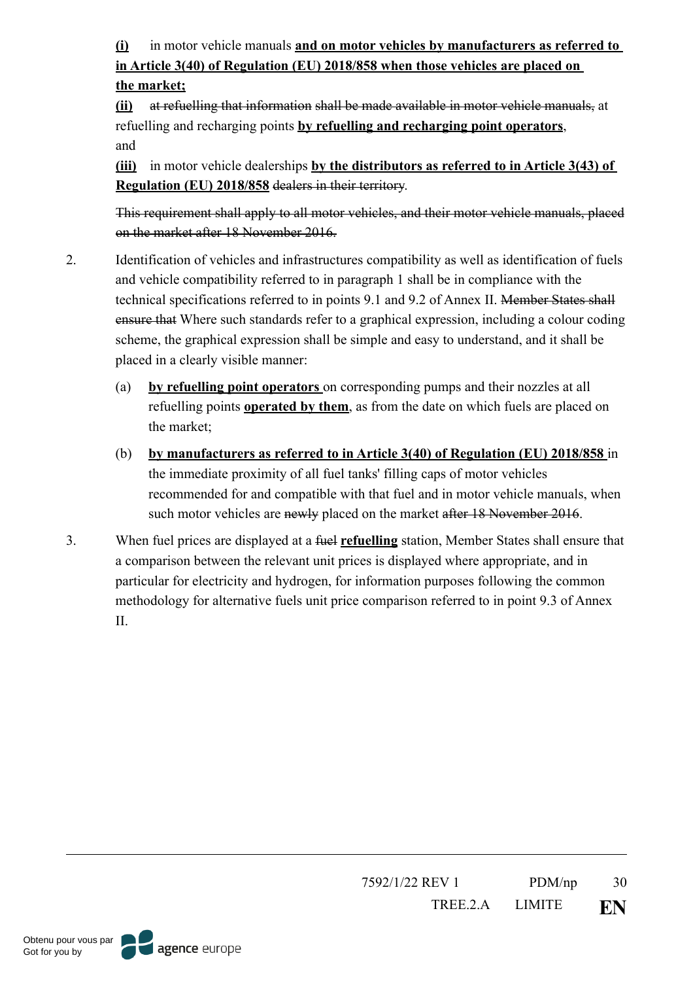**(i)** in motor vehicle manuals **and on motor vehicles by manufacturers as referred to in Article 3(40) of Regulation (EU) 2018/858 when those vehicles are placed on the market;**

**(ii)** at refuelling that information shall be made available in motor vehicle manuals, at refuelling and recharging points **by refuelling and recharging point operators**, and

**(iii)** in motor vehicle dealerships **by the distributors as referred to in Article 3(43) of Regulation (EU) 2018/858** dealers in their territory.

This requirement shall apply to all motor vehicles, and their motor vehicle manuals, placed on the market after 18 November 2016.

- 2. Identification of vehicles and infrastructures compatibility as well as identification of fuels and vehicle compatibility referred to in paragraph 1 shall be in compliance with the technical specifications referred to in points 9.1 and 9.2 of Annex II. Member States shall ensure that Where such standards refer to a graphical expression, including a colour coding scheme, the graphical expression shall be simple and easy to understand, and it shall be placed in a clearly visible manner:
	- (a) **by refuelling point operators** on corresponding pumps and their nozzles at all refuelling points **operated by them**, as from the date on which fuels are placed on the market;
	- (b) **by manufacturers as referred to in Article 3(40) of Regulation (EU) 2018/858** in the immediate proximity of all fuel tanks' filling caps of motor vehicles recommended for and compatible with that fuel and in motor vehicle manuals, when such motor vehicles are newly placed on the market after 18 November 2016.
- 3. When fuel prices are displayed at a fuel **refuelling** station, Member States shall ensure that a comparison between the relevant unit prices is displayed where appropriate, and in particular for electricity and hydrogen, for information purposes following the common methodology for alternative fuels unit price comparison referred to in point 9.3 of Annex II.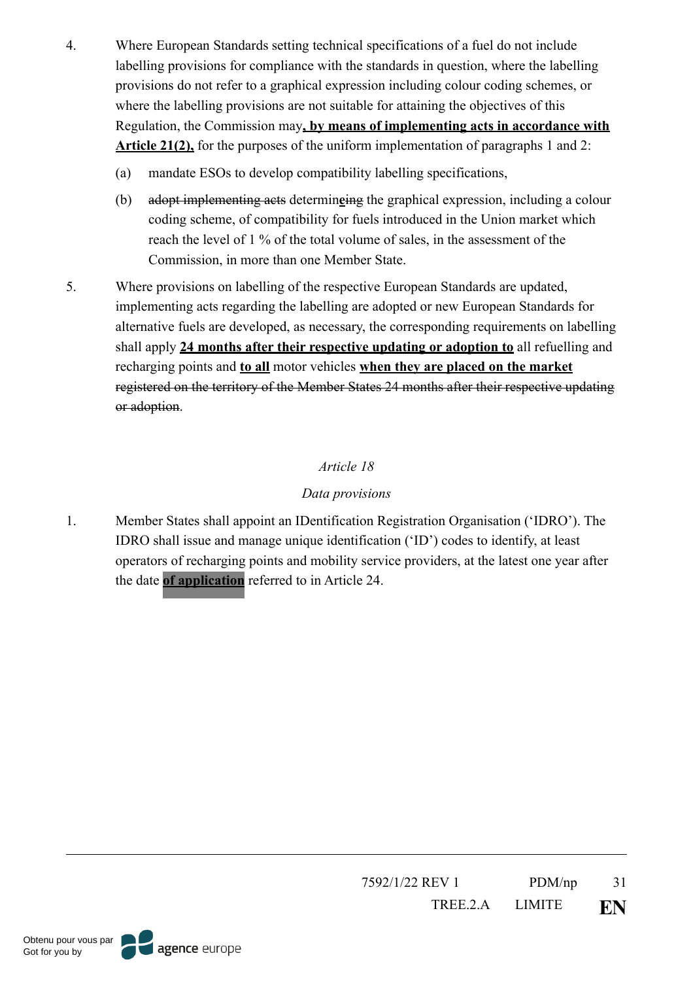- 4. Where European Standards setting technical specifications of a fuel do not include labelling provisions for compliance with the standards in question, where the labelling provisions do not refer to a graphical expression including colour coding schemes, or where the labelling provisions are not suitable for attaining the objectives of this Regulation, the Commission may**, by means of implementing acts in accordance with Article 21(2),** for the purposes of the uniform implementation of paragraphs 1 and 2:
	- (a) mandate ESOs to develop compatibility labelling specifications,
	- (b) adopt implementing acts determin**e**ing the graphical expression, including a colour coding scheme, of compatibility for fuels introduced in the Union market which reach the level of 1 % of the total volume of sales, in the assessment of the Commission, in more than one Member State.
- 5. Where provisions on labelling of the respective European Standards are updated, implementing acts regarding the labelling are adopted or new European Standards for alternative fuels are developed, as necessary, the corresponding requirements on labelling shall apply **24 months after their respective updating or adoption to** all refuelling and recharging points and **to all** motor vehicles **when they are placed on the market** registered on the territory of the Member States 24 months after their respective updating or adoption.

## *Data provisions*

1. Member States shall appoint an IDentification Registration Organisation ('IDRO'). The IDRO shall issue and manage unique identification ('ID') codes to identify, at least operators of recharging points and mobility service providers, at the latest one year after the date **of application** referred to in Article 24.

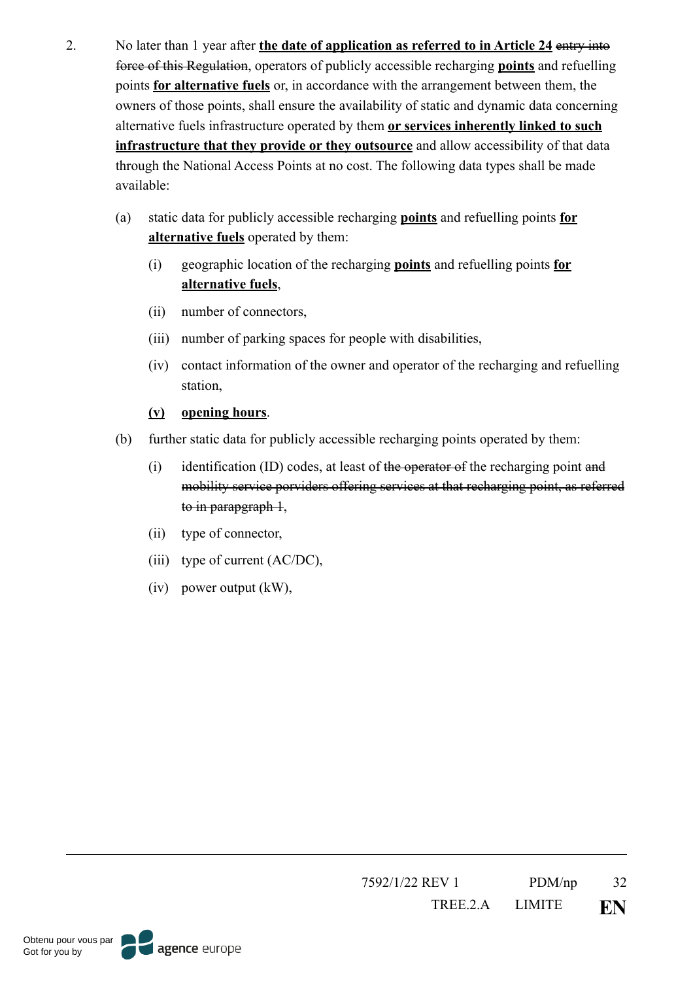- 2. No later than 1 year after **the date of application as referred to in Article 24** entry into force of this Regulation, operators of publicly accessible recharging **points** and refuelling points **for alternative fuels** or, in accordance with the arrangement between them, the owners of those points, shall ensure the availability of static and dynamic data concerning alternative fuels infrastructure operated by them **or services inherently linked to such infrastructure that they provide or they outsource** and allow accessibility of that data through the National Access Points at no cost. The following data types shall be made available:
	- (a) static data for publicly accessible recharging **points** and refuelling points **for alternative fuels** operated by them:
		- (i) geographic location of the recharging **points** and refuelling points **for alternative fuels**,
		- (ii) number of connectors,
		- (iii) number of parking spaces for people with disabilities,
		- (iv) contact information of the owner and operator of the recharging and refuelling station,

#### **(v) opening hours**.

- (b) further static data for publicly accessible recharging points operated by them:
	- (i) identification (ID) codes, at least of the operator of the recharging point and mobility service porviders offering services at that recharging point, as referred to in parapgraph 1,
	- (ii) type of connector,
	- (iii) type of current (AC/DC),
	- (iv) power output (kW),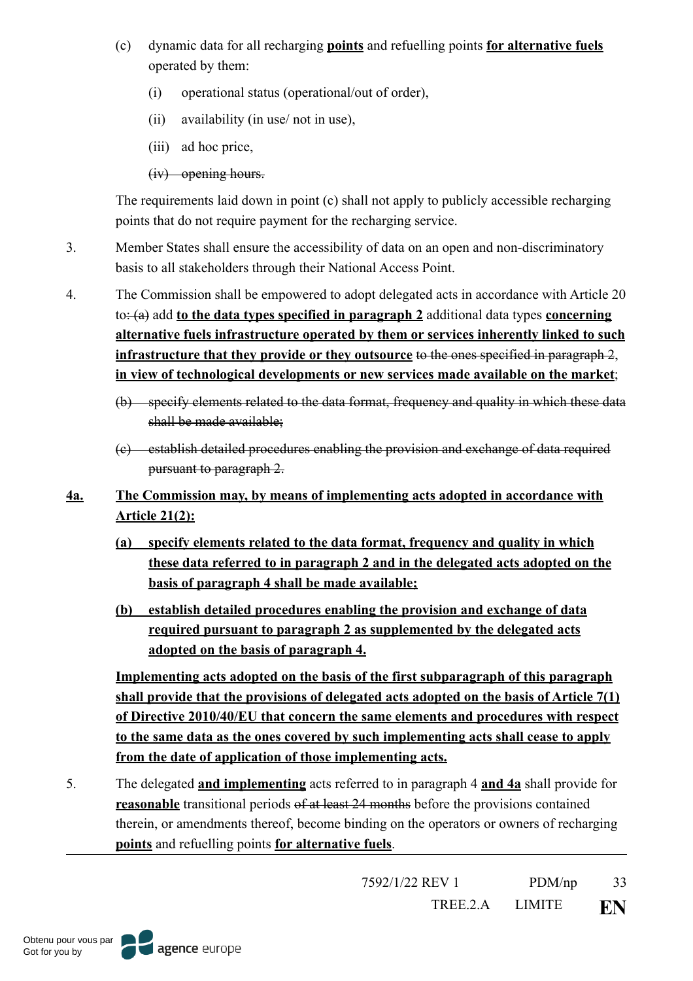- (c) dynamic data for all recharging **points** and refuelling points **for alternative fuels** operated by them:
	- (i) operational status (operational/out of order),
	- (ii) availability (in use/ not in use),
	- (iii) ad hoc price,
	- (iv) opening hours.

The requirements laid down in point (c) shall not apply to publicly accessible recharging points that do not require payment for the recharging service.

- 3. Member States shall ensure the accessibility of data on an open and non-discriminatory basis to all stakeholders through their National Access Point.
- 4. The Commission shall be empowered to adopt delegated acts in accordance with Article 20 to: (a) add **to the data types specified in paragraph 2** additional data types **concerning alternative fuels infrastructure operated by them or services inherently linked to such infrastructure that they provide or they outsource** to the ones specified in paragraph 2, **in view of technological developments or new services made available on the market**;
	- (b) specify elements related to the data format, frequency and quality in which these data shall be made available;
	- (c) establish detailed procedures enabling the provision and exchange of data required pursuant to paragraph 2.
- **4a. The Commission may, by means of implementing acts adopted in accordance with Article 21(2):** 
	- **(a) specify elements related to the data format, frequency and quality in which these data referred to in paragraph 2 and in the delegated acts adopted on the basis of paragraph 4 shall be made available;**
	- **(b) establish detailed procedures enabling the provision and exchange of data required pursuant to paragraph 2 as supplemented by the delegated acts adopted on the basis of paragraph 4.**

**Implementing acts adopted on the basis of the first subparagraph of this paragraph shall provide that the provisions of delegated acts adopted on the basis of Article 7(1) of Directive 2010/40/EU that concern the same elements and procedures with respect to the same data as the ones covered by such implementing acts shall cease to apply from the date of application of those implementing acts.** 

5. The delegated **and implementing** acts referred to in paragraph 4 **and 4a** shall provide for **reasonable** transitional periods of at least 24 months before the provisions contained therein, or amendments thereof, become binding on the operators or owners of recharging **points** and refuelling points **for alternative fuels**.

7592/1/22 REV 1 PDM/np 33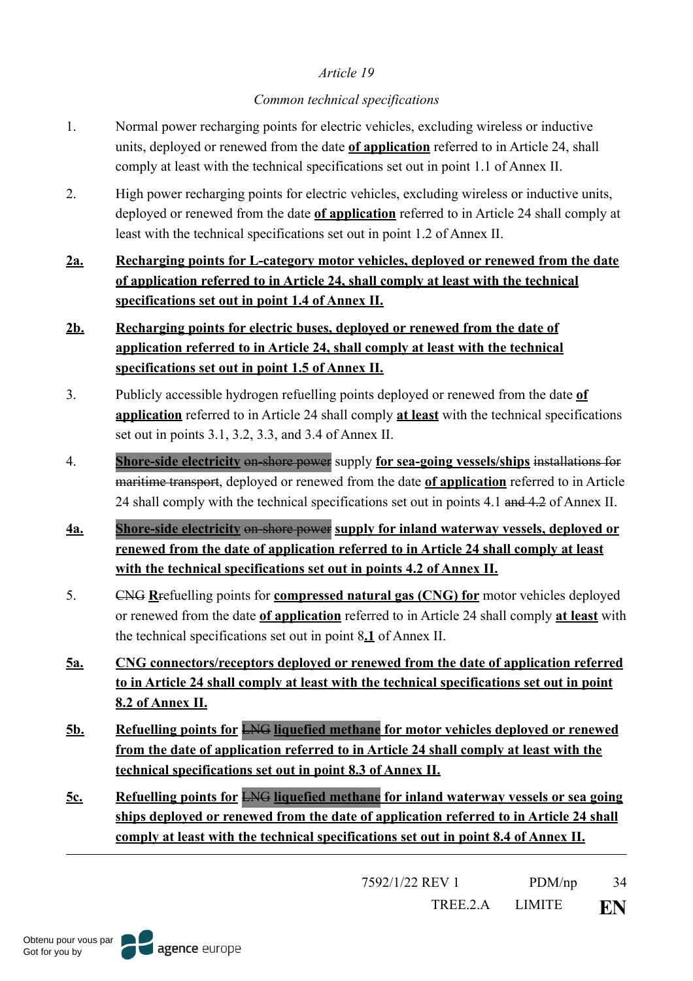### *Common technical specifications*

- 1. Normal power recharging points for electric vehicles, excluding wireless or inductive units, deployed or renewed from the date **of application** referred to in Article 24, shall comply at least with the technical specifications set out in point 1.1 of Annex II.
- 2. High power recharging points for electric vehicles, excluding wireless or inductive units, deployed or renewed from the date **of application** referred to in Article 24 shall comply at least with the technical specifications set out in point 1.2 of Annex II.
- **2a. Recharging points for L-category motor vehicles, deployed or renewed from the date of application referred to in Article 24, shall comply at least with the technical specifications set out in point 1.4 of Annex II.**

# **2b. Recharging points for electric buses, deployed or renewed from the date of application referred to in Article 24, shall comply at least with the technical specifications set out in point 1.5 of Annex II.**

- 3. Publicly accessible hydrogen refuelling points deployed or renewed from the date **of application** referred to in Article 24 shall comply **at least** with the technical specifications set out in points 3.1, 3.2, 3.3, and 3.4 of Annex II.
- 4. **Shore-side electricity** on-shore power supply **for sea-going vessels/ships** installations for maritime transport, deployed or renewed from the date **of application** referred to in Article 24 shall comply with the technical specifications set out in points 4.1 and 4.2 of Annex II.
- **4a. Shore-side electricity** on-shore power **supply for inland waterway vessels, deployed or renewed from the date of application referred to in Article 24 shall comply at least with the technical specifications set out in points 4.2 of Annex II.**
- 5. CNG **R**refuelling points for **compressed natural gas (CNG) for** motor vehicles deployed or renewed from the date **of application** referred to in Article 24 shall comply **at least** with the technical specifications set out in point 8**.1** of Annex II.
- **5a. CNG connectors/receptors deployed or renewed from the date of application referred to in Article 24 shall comply at least with the technical specifications set out in point 8.2 of Annex II.**
- **5b. Refuelling points for** LNG **liquefied methane for motor vehicles deployed or renewed from the date of application referred to in Article 24 shall comply at least with the technical specifications set out in point 8.3 of Annex II.**
- **5c. Refuelling points for** LNG **liquefied methane for inland waterway vessels or sea going ships deployed or renewed from the date of application referred to in Article 24 shall comply at least with the technical specifications set out in point 8.4 of Annex II.**

7592/1/22 REV 1 PDM/np 34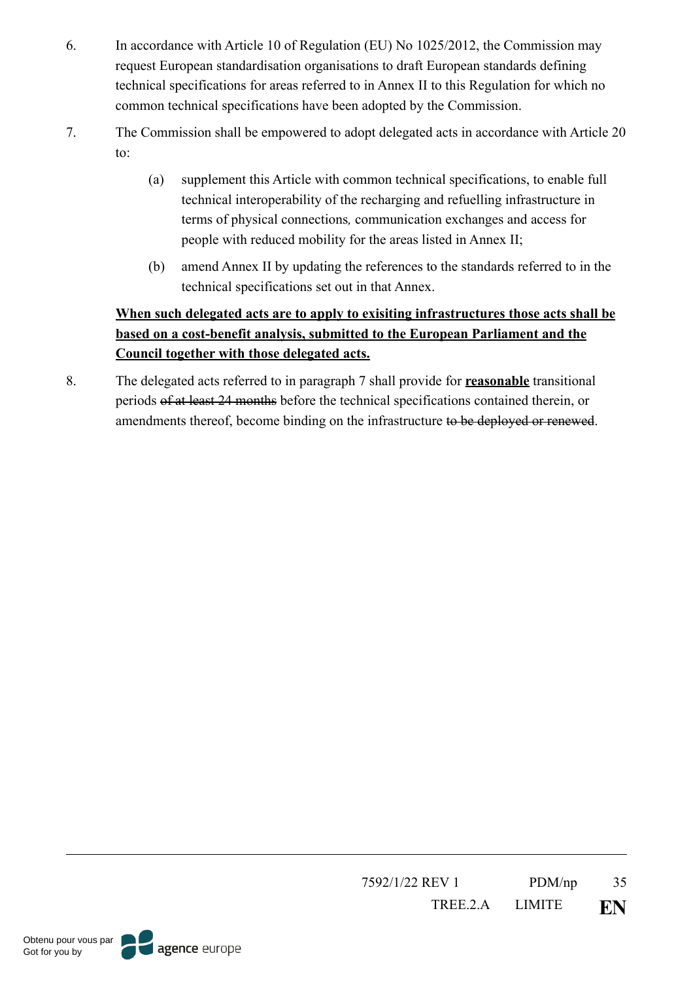- 6. In accordance with Article 10 of Regulation (EU) No 1025/2012, the Commission may request European standardisation organisations to draft European standards defining technical specifications for areas referred to in Annex II to this Regulation for which no common technical specifications have been adopted by the Commission.
- 7. The Commission shall be empowered to adopt delegated acts in accordance with Article 20 to:
	- (a) supplement this Article with common technical specifications, to enable full technical interoperability of the recharging and refuelling infrastructure in terms of physical connections*,* communication exchanges and access for people with reduced mobility for the areas listed in Annex II;
	- (b) amend Annex II by updating the references to the standards referred to in the technical specifications set out in that Annex.

# **When such delegated acts are to apply to exisiting infrastructures those acts shall be based on a cost-benefit analysis, submitted to the European Parliament and the Council together with those delegated acts.**

8. The delegated acts referred to in paragraph 7 shall provide for **reasonable** transitional periods of at least 24 months before the technical specifications contained therein, or amendments thereof, become binding on the infrastructure to be deployed or renewed.

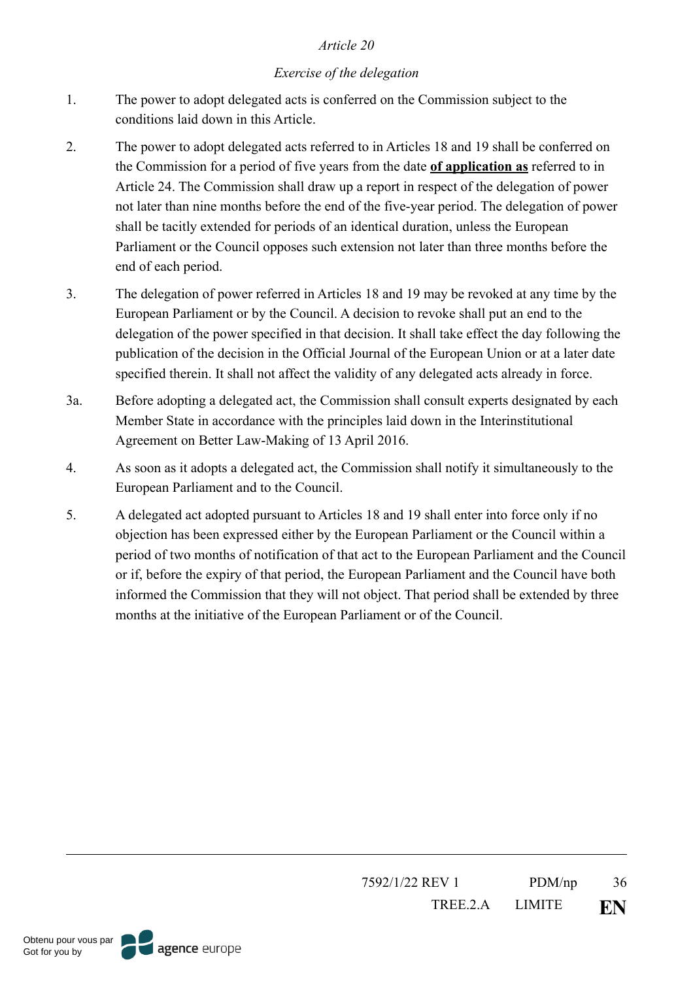## *Exercise of the delegation*

- 1. The power to adopt delegated acts is conferred on the Commission subject to the conditions laid down in this Article.
- 2. The power to adopt delegated acts referred to in Articles 18 and 19 shall be conferred on the Commission for a period of five years from the date **of application as** referred to in Article 24. The Commission shall draw up a report in respect of the delegation of power not later than nine months before the end of the five-year period. The delegation of power shall be tacitly extended for periods of an identical duration, unless the European Parliament or the Council opposes such extension not later than three months before the end of each period.
- 3. The delegation of power referred in Articles 18 and 19 may be revoked at any time by the European Parliament or by the Council. A decision to revoke shall put an end to the delegation of the power specified in that decision. It shall take effect the day following the publication of the decision in the Official Journal of the European Union or at a later date specified therein. It shall not affect the validity of any delegated acts already in force.
- 3a. Before adopting a delegated act, the Commission shall consult experts designated by each Member State in accordance with the principles laid down in the Interinstitutional Agreement on Better Law-Making of 13 April 2016.
- 4. As soon as it adopts a delegated act, the Commission shall notify it simultaneously to the European Parliament and to the Council.
- 5. A delegated act adopted pursuant to Articles 18 and 19 shall enter into force only if no objection has been expressed either by the European Parliament or the Council within a period of two months of notification of that act to the European Parliament and the Council or if, before the expiry of that period, the European Parliament and the Council have both informed the Commission that they will not object. That period shall be extended by three months at the initiative of the European Parliament or of the Council.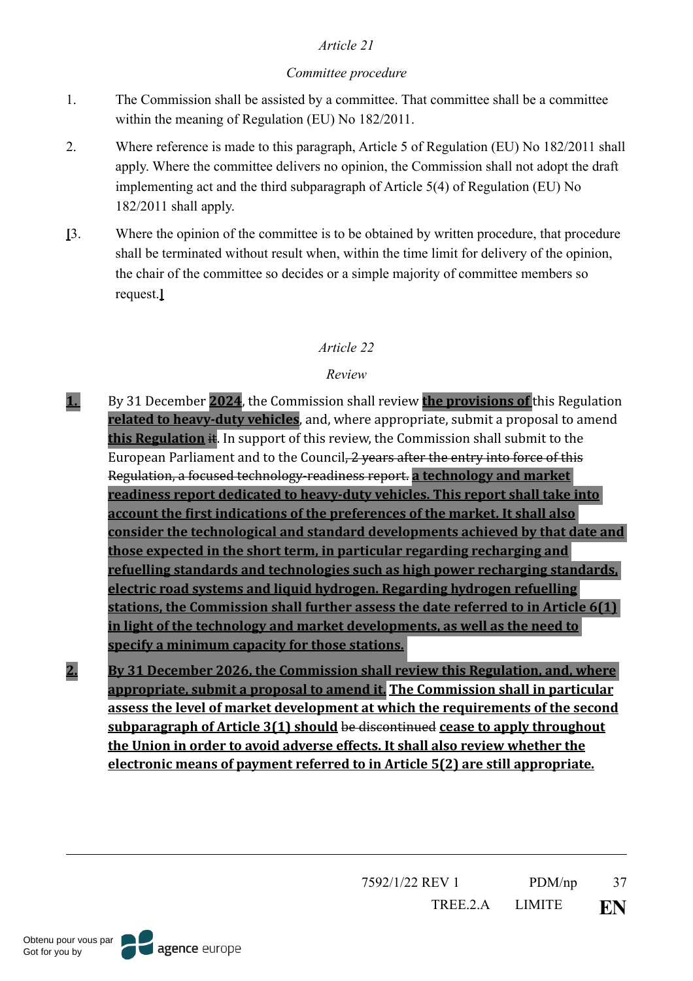## *Committee procedure*

- 1. The Commission shall be assisted by a committee. That committee shall be a committee within the meaning of Regulation (EU) No 182/2011.
- 2. Where reference is made to this paragraph, Article 5 of Regulation (EU) No 182/2011 shall apply. Where the committee delivers no opinion, the Commission shall not adopt the draft implementing act and the third subparagraph of Article 5(4) of Regulation (EU) No 182/2011 shall apply.
- **[**3. Where the opinion of the committee is to be obtained by written procedure, that procedure shall be terminated without result when, within the time limit for delivery of the opinion, the chair of the committee so decides or a simple majority of committee members so request.**]**

# *Article 22*

# *Review*

- **1.** By 31 December **2024**, the Commission shall review **the provisions of** this Regulation **related to heavy-duty vehicles**, and, where appropriate, submit a proposal to amend **this Regulation** it. In support of this review, the Commission shall submit to the European Parliament and to the Council, 2 years after the entry into force of this Regulation, a focused technology-readiness report. **a technology and market readiness report dedicated to heavy-duty vehicles. This report shall take into account the first indications of the preferences of the market. It shall also** consider the technological and standard developments achieved by that date and **those expected in the short term, in particular regarding recharging and refuelling standards and technologies such as high power recharging standards, electric road systems and liquid hydrogen. Regarding hydrogen refuelling** stations, the Commission shall further assess the date referred to in Article 6(1) **in light of the technology and market developments, as well as the need to** specify a minimum capacity for those stations.
- **2.** By 31 December 2026, the Commission shall review this Regulation, and, where appropriate, submit a proposal to amend it. The Commission shall in particular assess the level of market development at which the requirements of the second **<u>subparagraph of Article 3(1) should be discontinued cease to apply throughout</u>** the Union in order to avoid adverse effects. It shall also review whether the **electronic means of payment referred to in Article 5(2) are still appropriate.**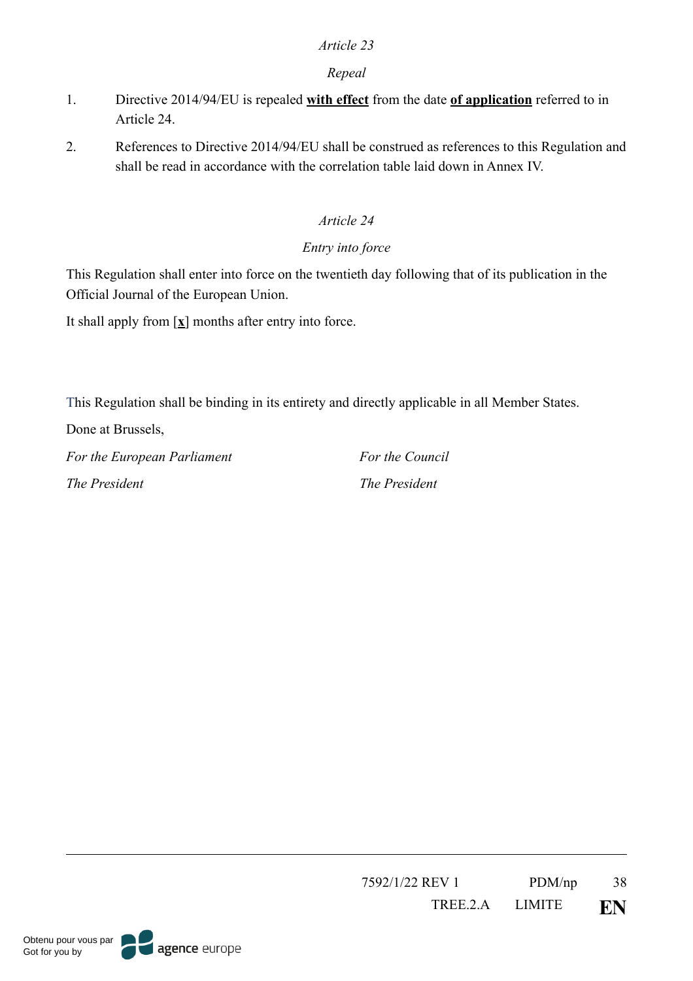## *Repeal*

- 1. Directive 2014/94/EU is repealed **with effect** from the date **of application** referred to in Article 24.
- 2. References to Directive 2014/94/EU shall be construed as references to this Regulation and shall be read in accordance with the correlation table laid down in Annex IV.

# *Article 24*

# *Entry into force*

This Regulation shall enter into force on the twentieth day following that of its publication in the Official Journal of the European Union.

It shall apply from [**x**] months after entry into force.

This Regulation shall be binding in its entirety and directly applicable in all Member States.

Done at Brussels,

*For the European Parliament For the Council The President The President*

7592/1/22 REV 1 PDM/np 38 TREE.2.A LIMITE **EN**

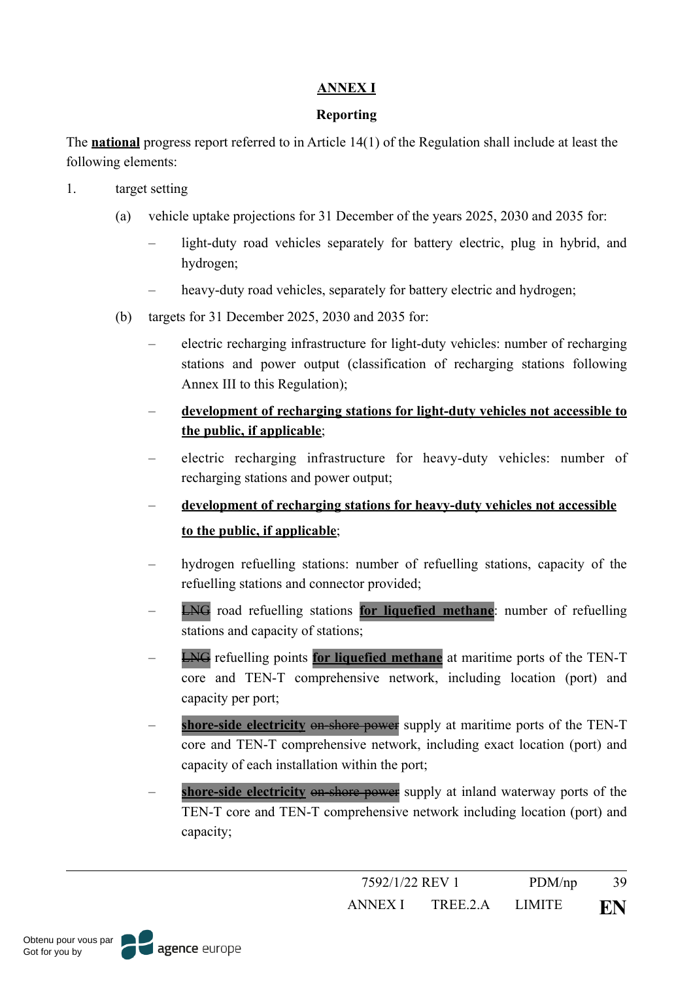## **ANNEX I**

### **Reporting**

The **national** progress report referred to in Article 14(1) of the Regulation shall include at least the following elements:

- 1. target setting
	- (a) vehicle uptake projections for 31 December of the years 2025, 2030 and 2035 for:
		- light-duty road vehicles separately for battery electric, plug in hybrid, and hydrogen;
		- heavy-duty road vehicles, separately for battery electric and hydrogen;
	- (b) targets for 31 December 2025, 2030 and 2035 for:
		- electric recharging infrastructure for light-duty vehicles: number of recharging stations and power output (classification of recharging stations following Annex III to this Regulation);
		- **development of recharging stations for light-duty vehicles not accessible to the public, if applicable**;
		- electric recharging infrastructure for heavy-duty vehicles: number of recharging stations and power output;
		- **development of recharging stations for heavy-duty vehicles not accessible to the public, if applicable**;
		- hydrogen refuelling stations: number of refuelling stations, capacity of the refuelling stations and connector provided;
		- LNG road refuelling stations **for liquefied methane**: number of refuelling stations and capacity of stations;
		- LNG refuelling points **for liquefied methane** at maritime ports of the TEN-T core and TEN-T comprehensive network, including location (port) and capacity per port;
		- shore-side electricity on-shore power supply at maritime ports of the TEN-T core and TEN-T comprehensive network, including exact location (port) and capacity of each installation within the port;
		- **shore-side electricity** on-shore power supply at inland waterway ports of the TEN-T core and TEN-T comprehensive network including location (port) and capacity;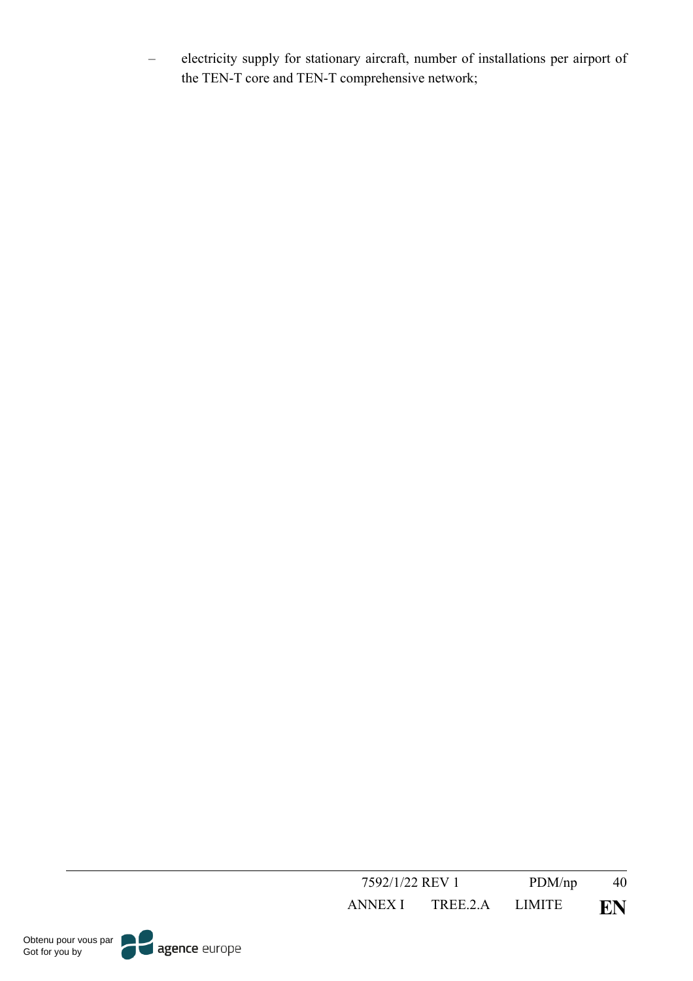– electricity supply for stationary aircraft, number of installations per airport of the TEN-T core and TEN-T comprehensive network;

| 7592/1/22 REV 1 |          | PDM(np)       | 40 |
|-----------------|----------|---------------|----|
| ANNEX I         | TREE 2 A | <b>LIMITE</b> | EN |

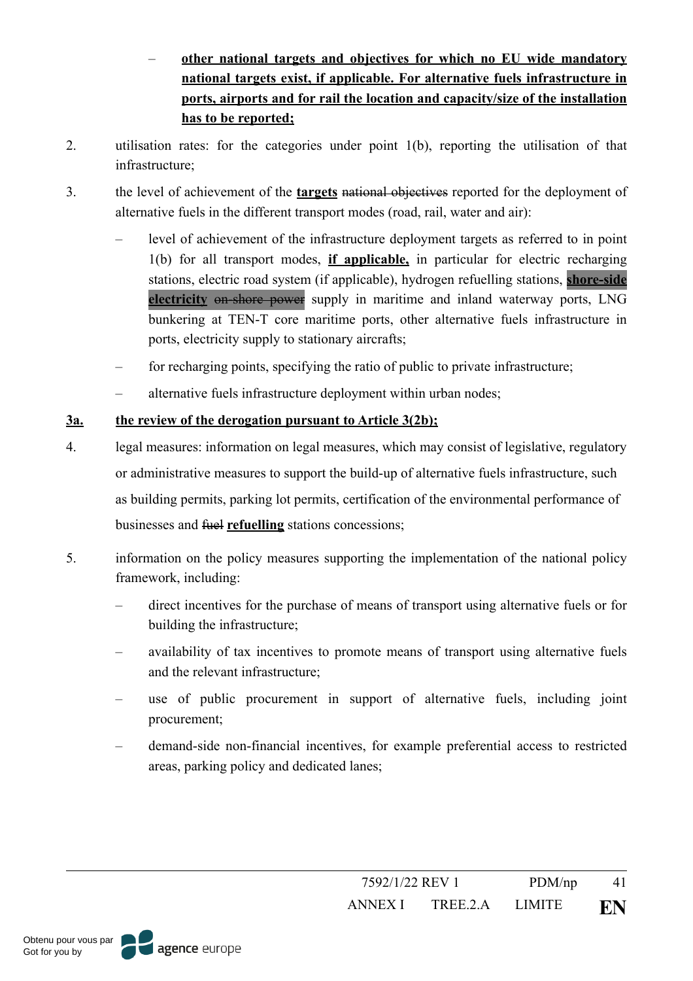- **other national targets and objectives for which no EU wide mandatory national targets exist, if applicable. For alternative fuels infrastructure in ports, airports and for rail the location and capacity/size of the installation has to be reported;**
- 2. utilisation rates: for the categories under point 1(b), reporting the utilisation of that infrastructure;
- 3. the level of achievement of the **targets** national objectives reported for the deployment of alternative fuels in the different transport modes (road, rail, water and air):
	- level of achievement of the infrastructure deployment targets as referred to in point 1(b) for all transport modes, **if applicable,** in particular for electric recharging stations, electric road system (if applicable), hydrogen refuelling stations, **shore-side electricity** on-shore power supply in maritime and inland waterway ports, LNG bunkering at TEN-T core maritime ports, other alternative fuels infrastructure in ports, electricity supply to stationary aircrafts;
	- for recharging points, specifying the ratio of public to private infrastructure;
	- alternative fuels infrastructure deployment within urban nodes;

# **3a. the review of the derogation pursuant to Article 3(2b);**

- 4. legal measures: information on legal measures, which may consist of legislative, regulatory or administrative measures to support the build-up of alternative fuels infrastructure, such as building permits, parking lot permits, certification of the environmental performance of businesses and fuel **refuelling** stations concessions;
- 5. information on the policy measures supporting the implementation of the national policy framework, including:
	- direct incentives for the purchase of means of transport using alternative fuels or for building the infrastructure;
	- availability of tax incentives to promote means of transport using alternative fuels and the relevant infrastructure;
	- use of public procurement in support of alternative fuels, including joint procurement;
	- demand-side non-financial incentives, for example preferential access to restricted areas, parking policy and dedicated lanes;

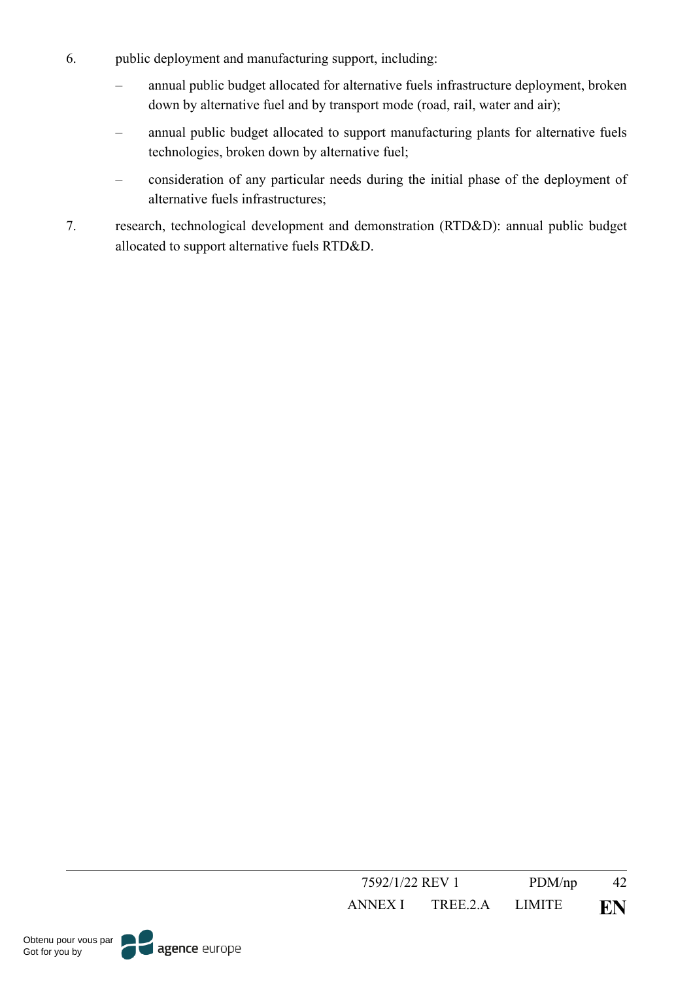- 6. public deployment and manufacturing support, including:
	- annual public budget allocated for alternative fuels infrastructure deployment, broken down by alternative fuel and by transport mode (road, rail, water and air);
	- annual public budget allocated to support manufacturing plants for alternative fuels technologies, broken down by alternative fuel;
	- consideration of any particular needs during the initial phase of the deployment of alternative fuels infrastructures;
- 7. research, technological development and demonstration (RTD&D): annual public budget allocated to support alternative fuels RTD&D.

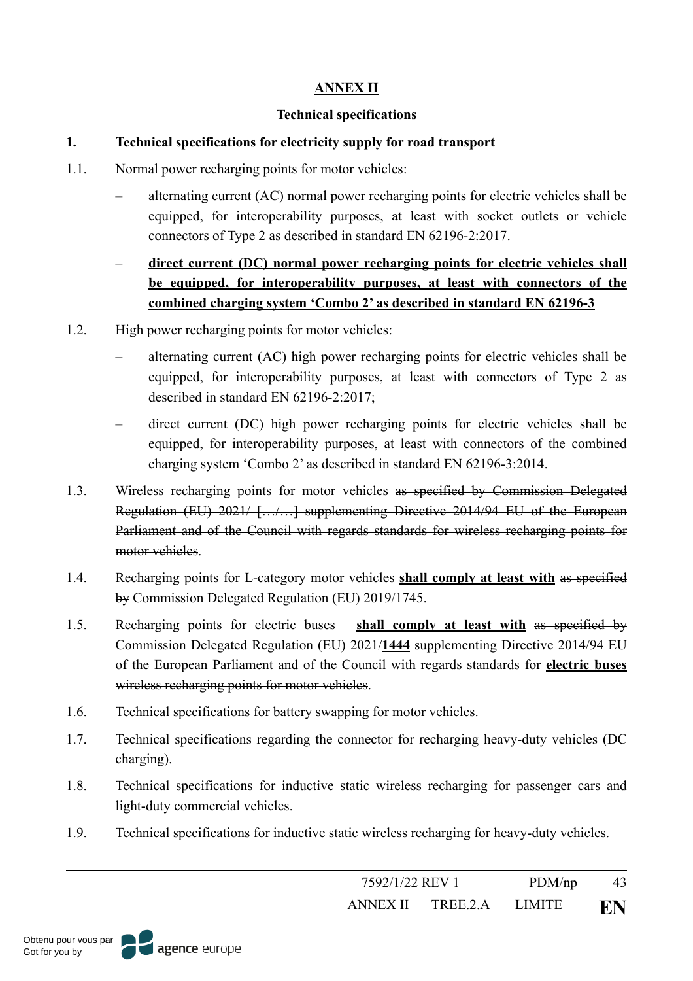## **ANNEX II**

#### **Technical specifications**

#### **1. Technical specifications for electricity supply for road transport**

- 1.1. Normal power recharging points for motor vehicles:
	- alternating current (AC) normal power recharging points for electric vehicles shall be equipped, for interoperability purposes, at least with socket outlets or vehicle connectors of Type 2 as described in standard EN 62196-2:2017.
	- **direct current (DC) normal power recharging points for electric vehicles shall be equipped, for interoperability purposes, at least with connectors of the combined charging system 'Combo 2' as described in standard EN 62196-3**
- 1.2. High power recharging points for motor vehicles:
	- alternating current (AC) high power recharging points for electric vehicles shall be equipped, for interoperability purposes, at least with connectors of Type 2 as described in standard EN 62196-2:2017;
	- direct current (DC) high power recharging points for electric vehicles shall be equipped, for interoperability purposes, at least with connectors of the combined charging system 'Combo 2' as described in standard EN 62196-3:2014.
- 1.3. Wireless recharging points for motor vehicles as specified by Commission Delegated Regulation (EU) 2021/ […/…] supplementing Directive 2014/94 EU of the European Parliament and of the Council with regards standards for wireless recharging points for motor vehicles.
- 1.4. Recharging points for L-category motor vehicles **shall comply at least with** as specified by Commission Delegated Regulation (EU) 2019/1745.
- 1.5. Recharging points for electric buses **shall comply at least with** as specified by Commission Delegated Regulation (EU) 2021/**1444** supplementing Directive 2014/94 EU of the European Parliament and of the Council with regards standards for **electric buses** wireless recharging points for motor vehicles.
- 1.6. Technical specifications for battery swapping for motor vehicles.
- 1.7. Technical specifications regarding the connector for recharging heavy-duty vehicles (DC charging).
- 1.8. Technical specifications for inductive static wireless recharging for passenger cars and light-duty commercial vehicles.
- 1.9. Technical specifications for inductive static wireless recharging for heavy-duty vehicles.

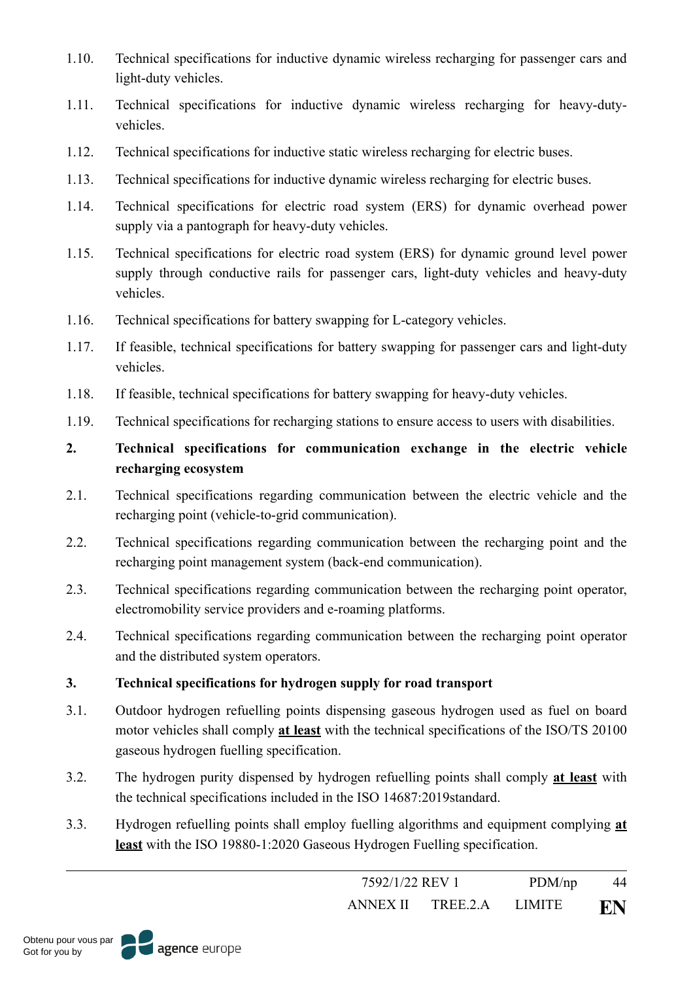- 1.10. Technical specifications for inductive dynamic wireless recharging for passenger cars and light-duty vehicles.
- 1.11. Technical specifications for inductive dynamic wireless recharging for heavy-dutyvehicles.
- 1.12. Technical specifications for inductive static wireless recharging for electric buses.
- 1.13. Technical specifications for inductive dynamic wireless recharging for electric buses.
- 1.14. Technical specifications for electric road system (ERS) for dynamic overhead power supply via a pantograph for heavy-duty vehicles.
- 1.15. Technical specifications for electric road system (ERS) for dynamic ground level power supply through conductive rails for passenger cars, light-duty vehicles and heavy-duty vehicles.
- 1.16. Technical specifications for battery swapping for L-category vehicles.
- 1.17. If feasible, technical specifications for battery swapping for passenger cars and light-duty vehicles.
- 1.18. If feasible, technical specifications for battery swapping for heavy-duty vehicles.
- 1.19. Technical specifications for recharging stations to ensure access to users with disabilities.

# **2. Technical specifications for communication exchange in the electric vehicle recharging ecosystem**

- 2.1. Technical specifications regarding communication between the electric vehicle and the recharging point (vehicle-to-grid communication).
- 2.2. Technical specifications regarding communication between the recharging point and the recharging point management system (back-end communication).
- 2.3. Technical specifications regarding communication between the recharging point operator, electromobility service providers and e-roaming platforms.
- 2.4. Technical specifications regarding communication between the recharging point operator and the distributed system operators.

# **3. Technical specifications for hydrogen supply for road transport**

- 3.1. Outdoor hydrogen refuelling points dispensing gaseous hydrogen used as fuel on board motor vehicles shall comply **at least** with the technical specifications of the ISO/TS 20100 gaseous hydrogen fuelling specification.
- 3.2. The hydrogen purity dispensed by hydrogen refuelling points shall comply **at least** with the technical specifications included in the ISO 14687:2019standard.
- 3.3. Hydrogen refuelling points shall employ fuelling algorithms and equipment complying **at least** with the ISO 19880-1:2020 Gaseous Hydrogen Fuelling specification.

| 7592/1/22 REV 1 |          | PDM(np)       | 44 |
|-----------------|----------|---------------|----|
| ANNEX II        | TREE 2 A | <b>LIMITE</b> | EN |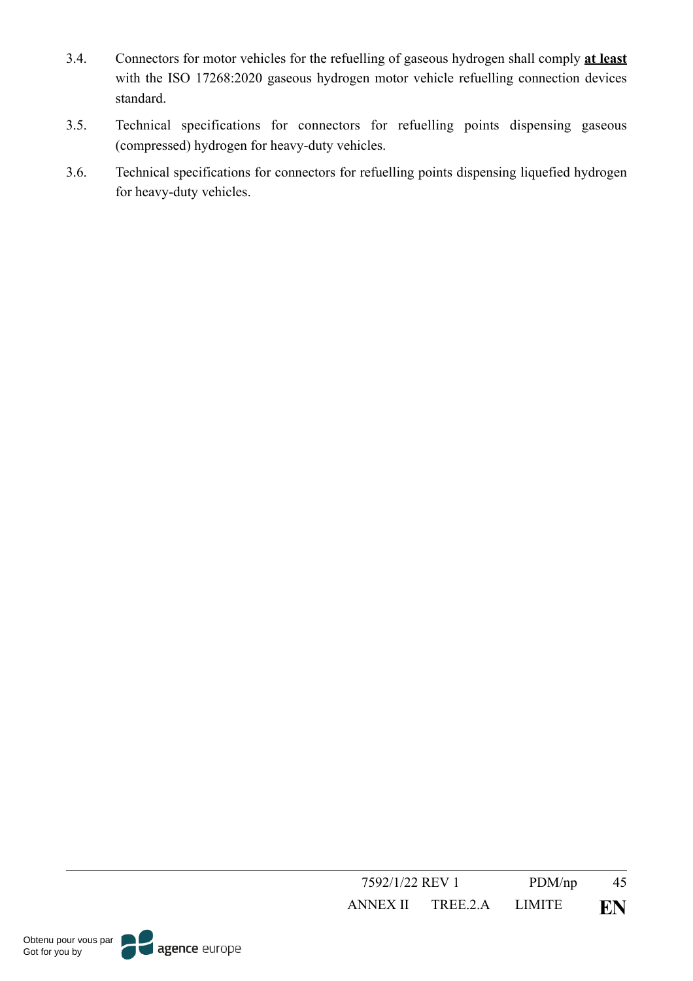- 3.4. Connectors for motor vehicles for the refuelling of gaseous hydrogen shall comply **at least** with the ISO 17268:2020 gaseous hydrogen motor vehicle refuelling connection devices standard.
- 3.5. Technical specifications for connectors for refuelling points dispensing gaseous (compressed) hydrogen for heavy-duty vehicles.
- 3.6. Technical specifications for connectors for refuelling points dispensing liquefied hydrogen for heavy-duty vehicles.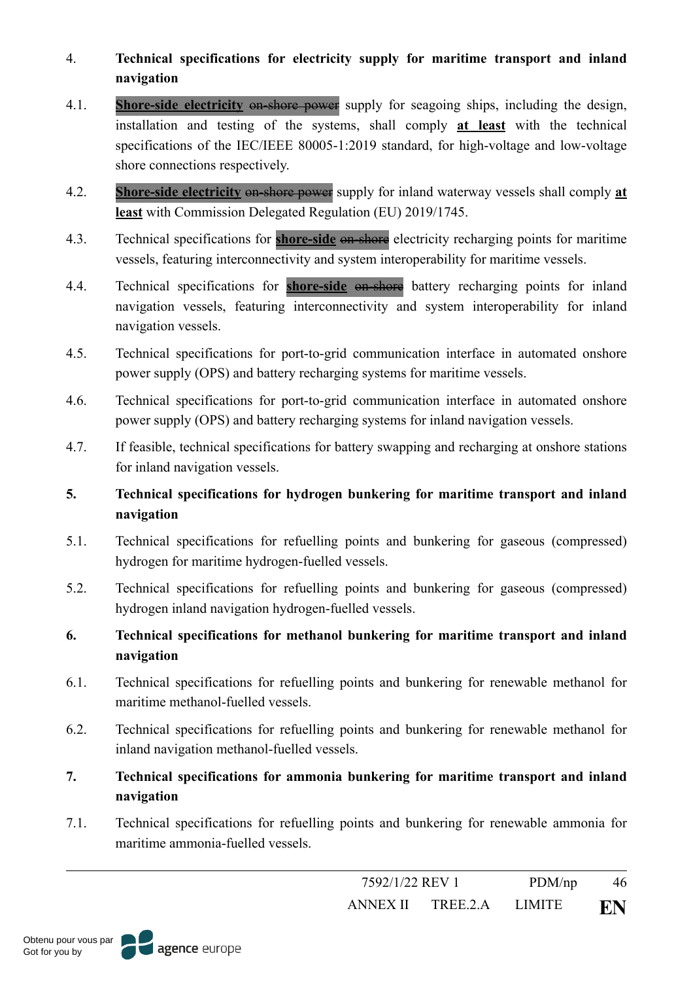- 4. **Technical specifications for electricity supply for maritime transport and inland navigation**
- 4.1. **Shore-side electricity** on-shore power supply for seagoing ships, including the design, installation and testing of the systems, shall comply **at least** with the technical specifications of the IEC/IEEE 80005-1:2019 standard, for high-voltage and low-voltage shore connections respectively.
- 4.2. **Shore-side electricity** on-shore power supply for inland waterway vessels shall comply **at least** with Commission Delegated Regulation (EU) 2019/1745.
- 4.3. Technical specifications for **shore-side** on-shore electricity recharging points for maritime vessels, featuring interconnectivity and system interoperability for maritime vessels.
- 4.4. Technical specifications for **shore-side** on-shore battery recharging points for inland navigation vessels, featuring interconnectivity and system interoperability for inland navigation vessels.
- 4.5. Technical specifications for port-to-grid communication interface in automated onshore power supply (OPS) and battery recharging systems for maritime vessels.
- 4.6. Technical specifications for port-to-grid communication interface in automated onshore power supply (OPS) and battery recharging systems for inland navigation vessels.
- 4.7. If feasible, technical specifications for battery swapping and recharging at onshore stations for inland navigation vessels.

# **5. Technical specifications for hydrogen bunkering for maritime transport and inland navigation**

- 5.1. Technical specifications for refuelling points and bunkering for gaseous (compressed) hydrogen for maritime hydrogen-fuelled vessels.
- 5.2. Technical specifications for refuelling points and bunkering for gaseous (compressed) hydrogen inland navigation hydrogen-fuelled vessels.
- **6. Technical specifications for methanol bunkering for maritime transport and inland navigation**
- 6.1. Technical specifications for refuelling points and bunkering for renewable methanol for maritime methanol-fuelled vessels.
- 6.2. Technical specifications for refuelling points and bunkering for renewable methanol for inland navigation methanol-fuelled vessels.
- **7. Technical specifications for ammonia bunkering for maritime transport and inland navigation**
- 7.1. Technical specifications for refuelling points and bunkering for renewable ammonia for maritime ammonia-fuelled vessels.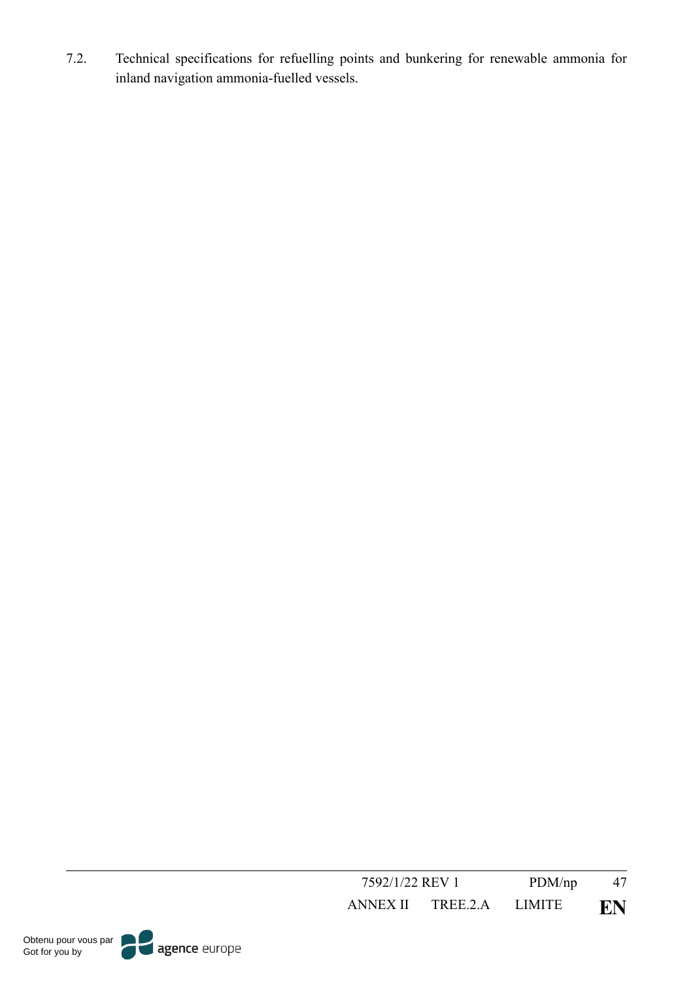7.2. Technical specifications for refuelling points and bunkering for renewable ammonia for inland navigation ammonia-fuelled vessels.

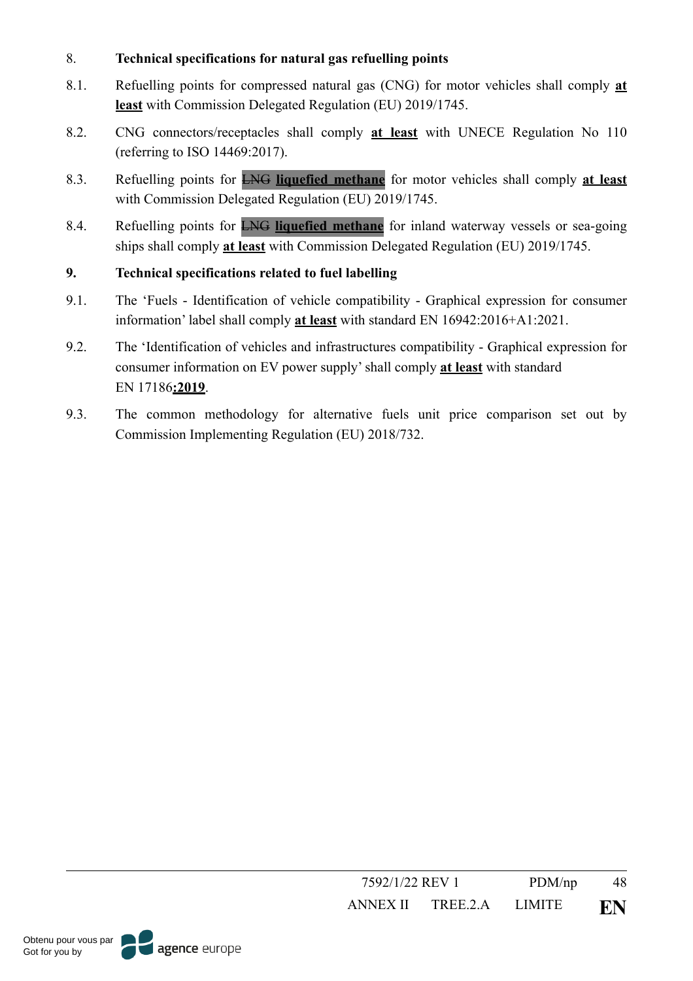## 8. **Technical specifications for natural gas refuelling points**

- 8.1. Refuelling points for compressed natural gas (CNG) for motor vehicles shall comply **at least** with Commission Delegated Regulation (EU) 2019/1745.
- 8.2. CNG connectors/receptacles shall comply **at least** with UNECE Regulation No 110 (referring to ISO 14469:2017).
- 8.3. Refuelling points for LNG **liquefied methane** for motor vehicles shall comply **at least** with Commission Delegated Regulation (EU) 2019/1745.
- 8.4. Refuelling points for LNG **liquefied methane** for inland waterway vessels or sea-going ships shall comply **at least** with Commission Delegated Regulation (EU) 2019/1745.

# **9. Technical specifications related to fuel labelling**

- 9.1. The 'Fuels Identification of vehicle compatibility Graphical expression for consumer information' label shall comply **at least** with standard EN 16942:2016+A1:2021.
- 9.2. The 'Identification of vehicles and infrastructures compatibility Graphical expression for consumer information on EV power supply' shall comply **at least** with standard EN 17186**:2019**.
- 9.3. The common methodology for alternative fuels unit price comparison set out by Commission Implementing Regulation (EU) 2018/732.



7592/1/22 REV 1 PDM/np 48

agence europe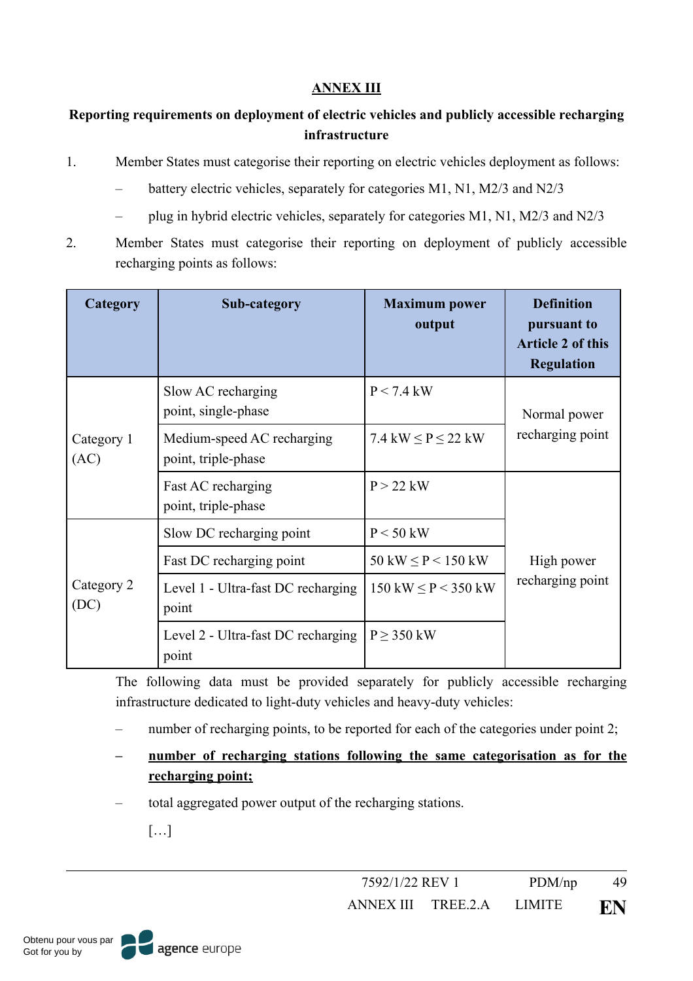## **ANNEX III**

# **Reporting requirements on deployment of electric vehicles and publicly accessible recharging infrastructure**

- 1. Member States must categorise their reporting on electric vehicles deployment as follows:
	- battery electric vehicles, separately for categories M1, N1, M2/3 and N2/3
	- plug in hybrid electric vehicles, separately for categories M1, N1, M2/3 and N2/3
- 2. Member States must categorise their reporting on deployment of publicly accessible recharging points as follows:

| Category           | Sub-category                                      | <b>Maximum power</b><br>output           | <b>Definition</b><br>pursuant to<br><b>Article 2 of this</b><br><b>Regulation</b> |  |
|--------------------|---------------------------------------------------|------------------------------------------|-----------------------------------------------------------------------------------|--|
|                    | Slow AC recharging<br>point, single-phase         | $P < 7.4$ kW                             | Normal power<br>recharging point                                                  |  |
| Category 1<br>(AC) | Medium-speed AC recharging<br>point, triple-phase | 7.4 kW $\leq$ P $\leq$ 22 kW             |                                                                                   |  |
|                    | Fast AC recharging<br>point, triple-phase         | $P > 22$ kW                              |                                                                                   |  |
|                    | Slow DC recharging point                          | $P < 50$ kW                              |                                                                                   |  |
|                    | Fast DC recharging point                          | $50 \text{ kW} \leq P < 150 \text{ kW}$  | High power                                                                        |  |
| Category 2<br>(DC) | Level 1 - Ultra-fast DC recharging<br>point       | $150 \text{ kW} \leq P < 350 \text{ kW}$ | recharging point                                                                  |  |
|                    | Level 2 - Ultra-fast DC recharging<br>point       | $P \geq 350$ kW                          |                                                                                   |  |

The following data must be provided separately for publicly accessible recharging infrastructure dedicated to light-duty vehicles and heavy-duty vehicles:

- number of recharging points, to be reported for each of the categories under point 2;
- **– number of recharging stations following the same categorisation as for the recharging point;**
- total aggregated power output of the recharging stations.
	- […]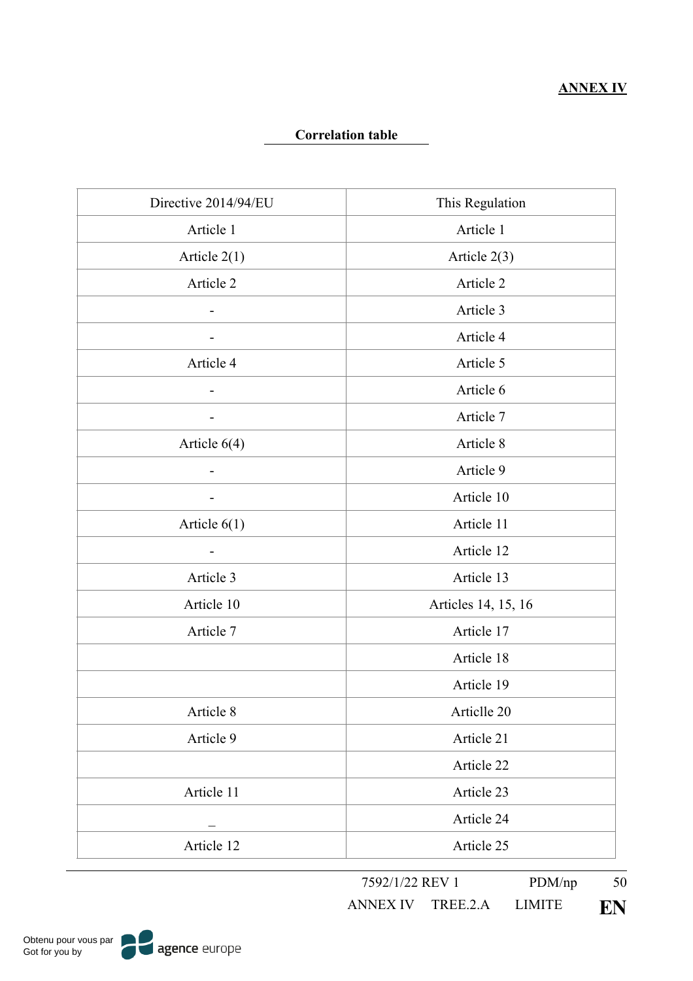### **Correlation table**

| Directive 2014/94/EU     | This Regulation     |
|--------------------------|---------------------|
| Article 1                | Article 1           |
| Article $2(1)$           | Article $2(3)$      |
| Article 2                | Article 2           |
|                          | Article 3           |
|                          | Article 4           |
| Article 4                | Article 5           |
|                          | Article 6           |
|                          | Article 7           |
| Article $6(4)$           | Article 8           |
| $\overline{\phantom{a}}$ | Article 9           |
| $\overline{\phantom{a}}$ | Article 10          |
| Article $6(1)$           | Article 11          |
| $\overline{\phantom{a}}$ | Article 12          |
| Article 3                | Article 13          |
| Article 10               | Articles 14, 15, 16 |
| Article 7                | Article 17          |
|                          | Article 18          |
|                          | Article 19          |
| Article 8                | Articlle 20         |
| Article 9                | Article 21          |
|                          | Article 22          |
| Article 11               | Article 23          |
|                          | Article 24          |
| Article 12               | Article 25          |

7592/1/22 REV 1 PDM/np 50

ANNEX IV TREE.2.A LIMITE **EN**